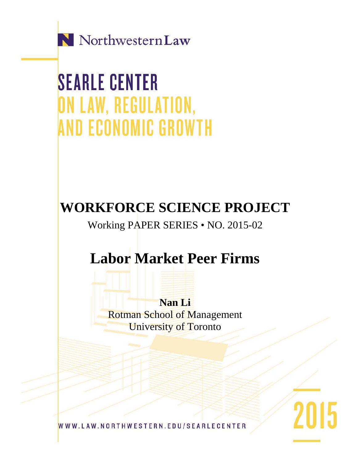

**SEARLE CENTER** ON LAW, REGULATION, **AND ECONOMIC GROWTH** 

## **WORKFORCE SCIENCE PROJECT**

Working PAPER SERIES • NO. 2015-02

# **Labor Market Peer Firms**

**Nan Li** Rotman School of Management University of Toronto

2015

WWW.LAW.NORTHWESTERN.EDU/SEARLECENTER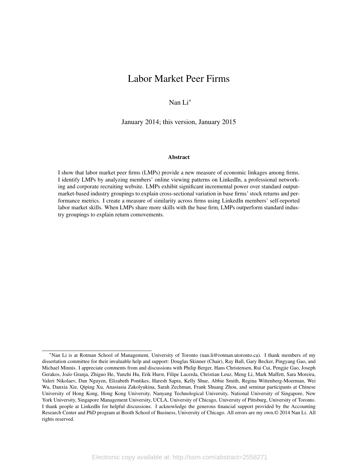### <span id="page-1-0"></span>Labor Market Peer Firms

Nan Li\*

January 2014; this version, January 2015

### Abstract

I show that labor market peer firms (LMPs) provide a new measure of economic linkages among firms. I identify LMPs by analyzing members' online viewing patterns on LinkedIn, a professional networking and corporate recruiting website. LMPs exhibit significant incremental power over standard outputmarket-based industry groupings to explain cross-sectional variation in base firms' stock returns and performance metrics. I create a measure of similarity across firms using LinkedIn members' self-reported labor market skills. When LMPs share more skills with the base firm, LMPs outperform standard industry groupings to explain return comovements.

<sup>\*</sup>Nan Li is at Rotman School of Management, University of Toronto (nan.li@rotman.utoronto.ca). I thank members of my dissertation committee for their invaluable help and support: Douglas Skinner (Chair), Ray Ball, Gary Becker, Pingyang Gao, and Michael Minnis. I appreciate comments from and discussions with Philip Berger, Hans Christensen, Rui Cui, Pengjie Gao, Joseph Gerakos, João Granja, Zhiguo He, Yunzhi Hu, Erik Hurst, Filipe Lacerda, Christian Leuz, Meng Li, Mark Maffett, Sara Moreira, Valeri Nikolaev, Dan Nguyen, Elizabeth Pontikes, Haresh Sapra, Kelly Shue, Abbie Smith, Regina Wittenberg-Moerman, Wei Wu, Danxia Xie, Qiping Xu, Anastasia Zakolyukina, Sarah Zechman, Frank Shuang Zhou, and seminar participants at Chinese University of Hong Kong, Hong Kong University, Nanyang Technological University, National University of Singapore, New York University, Singapore Management University, UCLA, University of Chicago, University of Pittsburg, University of Toronto. I thank people at LinkedIn for helpful discussions. I acknowledge the generous financial support provided by the Accounting Research Center and PhD program at Booth School of Business, University of Chicago. All errors are my own.© 2014 Nan Li. All rights reserved.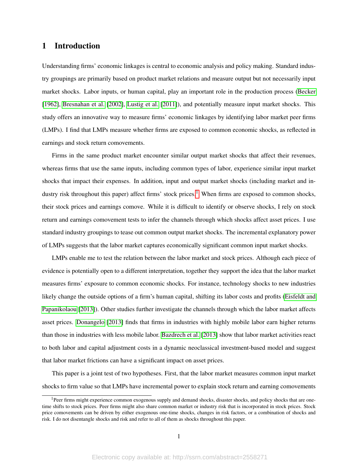### 1 Introduction

Understanding firms' economic linkages is central to economic analysis and policy making. Standard industry groupings are primarily based on product market relations and measure output but not necessarily input market shocks. Labor inputs, or human capital, play an important role in the production process [\(Becker](#page-31-0) [\[1962\]](#page-31-0), [Bresnahan et al.](#page-32-0) [\[2002\]](#page-32-0), [Lustig et al.](#page-34-0) [\[2011\]](#page-34-0)), and potentially measure input market shocks. This study offers an innovative way to measure firms' economic linkages by identifying labor market peer firms (LMPs). I find that LMPs measure whether firms are exposed to common economic shocks, as reflected in earnings and stock return comovements.

Firms in the same product market encounter similar output market shocks that affect their revenues, whereas firms that use the same inputs, including common types of labor, experience similar input market shocks that impact their expenses. In addition, input and output market shocks (including market and in-dustry risk throughout this paper) affect firms' stock prices.<sup>[1](#page-1-0)</sup> When firms are exposed to common shocks, their stock prices and earnings comove. While it is difficult to identify or observe shocks, I rely on stock return and earnings comovement tests to infer the channels through which shocks affect asset prices. I use standard industry groupings to tease out common output market shocks. The incremental explanatory power of LMPs suggests that the labor market captures economically significant common input market shocks.

LMPs enable me to test the relation between the labor market and stock prices. Although each piece of evidence is potentially open to a different interpretation, together they support the idea that the labor market measures firms' exposure to common economic shocks. For instance, technology shocks to new industries likely change the outside options of a firm's human capital, shifting its labor costs and profits [\(Eisfeldt and](#page-32-1) [Papanikolaou](#page-32-1) [\[2013\]](#page-32-1)). Other studies further investigate the channels through which the labor market affects asset prices. [Donangelo](#page-32-2) [\[2013\]](#page-32-2) finds that firms in industries with highly mobile labor earn higher returns than those in industries with less mobile labor. [Bazdrech et al.](#page-31-1) [\[2013\]](#page-31-1) show that labor market activities react to both labor and capital adjustment costs in a dynamic neoclassical investment-based model and suggest that labor market frictions can have a significant impact on asset prices.

This paper is a joint test of two hypotheses. First, that the labor market measures common input market shocks to firm value so that LMPs have incremental power to explain stock return and earning comovements

<sup>&</sup>lt;sup>1</sup>Peer firms might experience common exogenous supply and demand shocks, disaster shocks, and policy shocks that are onetime shifts to stock prices. Peer firms might also share common market or industry risk that is incorporated in stock prices. Stock price comovements can be driven by either exogenous one-time shocks, changes in risk factors, or a combination of shocks and risk. I do not disentangle shocks and risk and refer to all of them as shocks throughout this paper.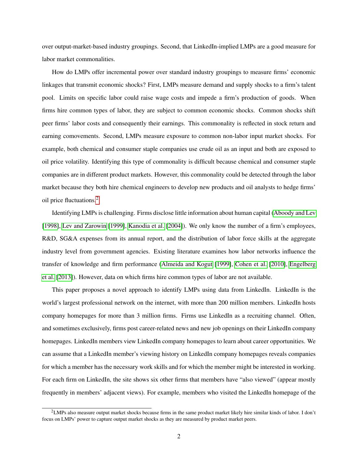over output-market-based industry groupings. Second, that LinkedIn-implied LMPs are a good measure for labor market commonalities.

How do LMPs offer incremental power over standard industry groupings to measure firms' economic linkages that transmit economic shocks? First, LMPs measure demand and supply shocks to a firm's talent pool. Limits on specific labor could raise wage costs and impede a firm's production of goods. When firms hire common types of labor, they are subject to common economic shocks. Common shocks shift peer firms' labor costs and consequently their earnings. This commonality is reflected in stock return and earning comovements. Second, LMPs measure exposure to common non-labor input market shocks. For example, both chemical and consumer staple companies use crude oil as an input and both are exposed to oil price volatility. Identifying this type of commonality is difficult because chemical and consumer staple companies are in different product markets. However, this commonality could be detected through the labor market because they both hire chemical engineers to develop new products and oil analysts to hedge firms' oil price fluctuations.[2](#page-1-0)

Identifying LMPs is challenging. Firms disclose little information about human capital [\(Aboody and Lev](#page-31-2) [\[1998\]](#page-31-2), [Lev and Zarowin](#page-34-1) [\[1999\]](#page-34-1), [Kanodia et al.](#page-33-0) [\[2004\]](#page-33-0)). We only know the number of a firm's employees, R&D, SG&A expenses from its annual report, and the distribution of labor force skills at the aggregate industry level from government agencies. Existing literature examines how labor networks influence the transfer of knowledge and firm performance [\(Almeida and Kogut](#page-31-3) [\[1999\]](#page-31-3), [Cohen et al.](#page-32-3) [\[2010\]](#page-32-3), [Engelberg](#page-32-4) [et al.](#page-32-4) [\[2013\]](#page-32-4)). However, data on which firms hire common types of labor are not available.

This paper proposes a novel approach to identify LMPs using data from LinkedIn. LinkedIn is the world's largest professional network on the internet, with more than 200 million members. LinkedIn hosts company homepages for more than 3 million firms. Firms use LinkedIn as a recruiting channel. Often, and sometimes exclusively, firms post career-related news and new job openings on their LinkedIn company homepages. LinkedIn members view LinkedIn company homepages to learn about career opportunities. We can assume that a LinkedIn member's viewing history on LinkedIn company homepages reveals companies for which a member has the necessary work skills and for which the member might be interested in working. For each firm on LinkedIn, the site shows six other firms that members have "also viewed" (appear mostly frequently in members' adjacent views). For example, members who visited the LinkedIn homepage of the

 $2$ LMPs also measure output market shocks because firms in the same product market likely hire similar kinds of labor. I don't focus on LMPs' power to capture output market shocks as they are measured by product market peers.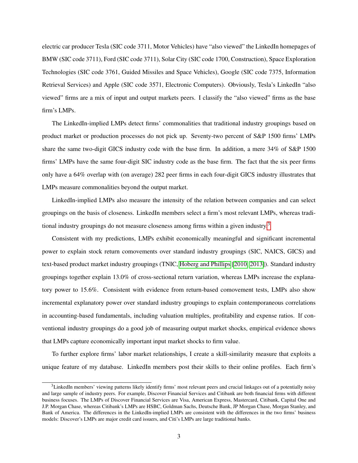electric car producer Tesla (SIC code 3711, Motor Vehicles) have "also viewed" the LinkedIn homepages of BMW (SIC code 3711), Ford (SIC code 3711), Solar City (SIC code 1700, Construction), Space Exploration Technologies (SIC code 3761, Guided Missiles and Space Vehicles), Google (SIC code 7375, Information Retrieval Services) and Apple (SIC code 3571, Electronic Computers). Obviously, Tesla's LinkedIn "also viewed" firms are a mix of input and output markets peers. I classify the "also viewed" firms as the base firm's LMPs.

The LinkedIn-implied LMPs detect firms' commonalities that traditional industry groupings based on product market or production processes do not pick up. Seventy-two percent of S&P 1500 firms' LMPs share the same two-digit GICS industry code with the base firm. In addition, a mere 34% of S&P 1500 firms' LMPs have the same four-digit SIC industry code as the base firm. The fact that the six peer firms only have a 64% overlap with (on average) 282 peer firms in each four-digit GICS industry illustrates that LMPs measure commonalities beyond the output market.

LinkedIn-implied LMPs also measure the intensity of the relation between companies and can select groupings on the basis of closeness. LinkedIn members select a firm's most relevant LMPs, whereas tradi-tional industry groupings do not measure closeness among firms within a given industry.<sup>[3](#page-1-0)</sup>

Consistent with my predictions, LMPs exhibit economically meaningful and significant incremental power to explain stock return comovements over standard industry groupings (SIC, NAICS, GICS) and text-based product market industry groupings (TNIC, [Hoberg and Phillips](#page-33-1) [\[2010,](#page-33-1) [2013\]](#page-33-2)). Standard industry groupings together explain 13.0% of cross-sectional return variation, whereas LMPs increase the explanatory power to 15.6%. Consistent with evidence from return-based comovement tests, LMPs also show incremental explanatory power over standard industry groupings to explain contemporaneous correlations in accounting-based fundamentals, including valuation multiples, profitability and expense ratios. If conventional industry groupings do a good job of measuring output market shocks, empirical evidence shows that LMPs capture economically important input market shocks to firm value.

To further explore firms' labor market relationships, I create a skill-similarity measure that exploits a unique feature of my database. LinkedIn members post their skills to their online profiles. Each firm's

 $3$ LinkedIn members' viewing patterns likely identify firms' most relevant peers and crucial linkages out of a potentially noisy and large sample of industry peers. For example, Discover Financial Services and Citibank are both financial firms with different business focuses. The LMPs of Discover Financial Services are Visa, American Express, Mastercard, Citibank, Capital One and J.P. Morgan Chase, whereas Citibank's LMPs are HSBC, Goldman Sachs, Deutsche Bank, JP Morgan Chase, Morgan Stanley, and Bank of America. The differences in the LinkedIn-implied LMPs are consistent with the differences in the two firms' business models: Discover's LMPs are major credit card issuers, and Citi's LMPs are large traditional banks.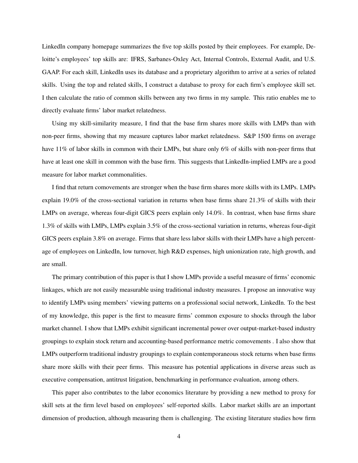LinkedIn company homepage summarizes the five top skills posted by their employees. For example, Deloitte's employees' top skills are: IFRS, Sarbanes-Oxley Act, Internal Controls, External Audit, and U.S. GAAP. For each skill, LinkedIn uses its database and a proprietary algorithm to arrive at a series of related skills. Using the top and related skills, I construct a database to proxy for each firm's employee skill set. I then calculate the ratio of common skills between any two firms in my sample. This ratio enables me to directly evaluate firms' labor market relatedness.

Using my skill-similarity measure, I find that the base firm shares more skills with LMPs than with non-peer firms, showing that my measure captures labor market relatedness. S&P 1500 firms on average have 11% of labor skills in common with their LMPs, but share only 6% of skills with non-peer firms that have at least one skill in common with the base firm. This suggests that LinkedIn-implied LMPs are a good measure for labor market commonalities.

I find that return comovements are stronger when the base firm shares more skills with its LMPs. LMPs explain 19.0% of the cross-sectional variation in returns when base firms share 21.3% of skills with their LMPs on average, whereas four-digit GICS peers explain only 14.0%. In contrast, when base firms share 1.3% of skills with LMPs, LMPs explain 3.5% of the cross-sectional variation in returns, whereas four-digit GICS peers explain 3.8% on average. Firms that share less labor skills with their LMPs have a high percentage of employees on LinkedIn, low turnover, high R&D expenses, high unionization rate, high growth, and are small.

The primary contribution of this paper is that I show LMPs provide a useful measure of firms' economic linkages, which are not easily measurable using traditional industry measures. I propose an innovative way to identify LMPs using members' viewing patterns on a professional social network, LinkedIn. To the best of my knowledge, this paper is the first to measure firms' common exposure to shocks through the labor market channel. I show that LMPs exhibit significant incremental power over output-market-based industry groupings to explain stock return and accounting-based performance metric comovements . I also show that LMPs outperform traditional industry groupings to explain contemporaneous stock returns when base firms share more skills with their peer firms. This measure has potential applications in diverse areas such as executive compensation, antitrust litigation, benchmarking in performance evaluation, among others.

This paper also contributes to the labor economics literature by providing a new method to proxy for skill sets at the firm level based on employees' self-reported skills. Labor market skills are an important dimension of production, although measuring them is challenging. The existing literature studies how firm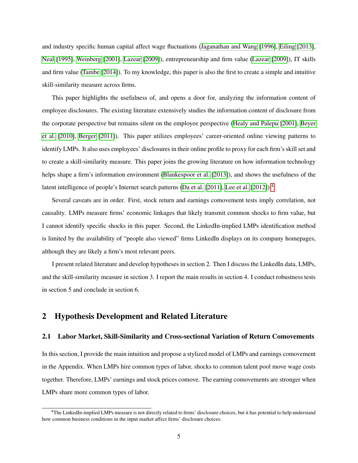and industry specific human capital affect wage fluctuations [\(Jaganathan and Wang](#page-33-3) [\[1996\]](#page-33-3), [Eiling](#page-32-5) [\[2013\]](#page-32-5), [Neal](#page-34-2) [\[1995\]](#page-34-2), [Weinberg](#page-35-0) [\[2001\]](#page-35-0), [Lazear](#page-33-4) [\[2009\]](#page-33-4)), entrepreneurship and firm value [\(Lazear](#page-33-4) [\[2009\]](#page-33-4)), IT skills and firm value [\(Tambe](#page-34-3) [\[2014\]](#page-34-3)). To my knowledge, this paper is also the first to create a simple and intuitive skill-similarity measure across firms.

This paper highlights the usefulness of, and opens a door for, analyzing the information content of employee disclosures. The existing literature extensively studies the information content of disclosure from the corporate perspective but remains silent on the employee perspective [\(Healy and Palepu](#page-33-5) [\[2001\]](#page-33-5), [Beyer](#page-31-4) [et al.](#page-31-4) [\[2010\]](#page-31-4), [Berger](#page-31-5) [\[2011\]](#page-31-5)). This paper utilizes employees' career-oriented online viewing patterns to identify LMPs. It also uses employees' disclosures in their online profile to proxy for each firm's skill set and to create a skill-similarity measure. This paper joins the growing literature on how information technology helps shape a firm's information environment [\(Blankespoor et al.](#page-32-6) [\[2013\]](#page-32-6)), and shows the usefulness of the latent intelligence of people's Internet search patterns [\(Da et al.](#page-32-7) [\[2011\]](#page-32-7), [Lee et al.](#page-34-4) [\[2012\]](#page-34-4)).<sup>[4](#page-1-0)</sup>

Several caveats are in order. First, stock return and earnings comovement tests imply correlation, not causality. LMPs measure firms' economic linkages that likely transmit common shocks to firm value, but I cannot identify specific shocks in this paper. Second, the LinkedIn-implied LMPs identification method is limited by the availability of "people also viewed" firms LinkedIn displays on its company homepages, although they are likely a firm's most relevant peers.

I present related literature and develop hypotheses in section 2. Then I discuss the LinkedIn data, LMPs, and the skill-similarity measure in section 3. I report the main results in section 4. I conduct robustness tests in section 5 and conclude in section 6.

### 2 Hypothesis Development and Related Literature

### 2.1 Labor Market, Skill-Similarity and Cross-sectional Variation of Return Comovements

In this section, I provide the main intuition and propose a stylized model of LMPs and earnings comovement in the Appendix. When LMPs hire common types of labor, shocks to common talent pool move wage costs together. Therefore, LMPs' earnings and stock prices comove. The earning comovements are stronger when LMPs share more common types of labor.

 $4$ The LinkedIn-implied LMPs measure is not directly related to firms' disclosure choices, but it has potential to help understand how common business conditions in the input market affect firms' disclosure choices.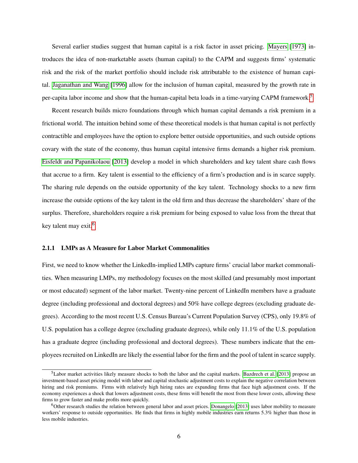Several earlier studies suggest that human capital is a risk factor in asset pricing. [Mayers](#page-34-5) [\[1973\]](#page-34-5) introduces the idea of non-marketable assets (human capital) to the CAPM and suggests firms' systematic risk and the risk of the market portfolio should include risk attributable to the existence of human capital. [Jaganathan and Wang](#page-33-3) [\[1996\]](#page-33-3) allow for the inclusion of human capital, measured by the growth rate in per-capita labor income and show that the human-capital beta loads in a time-varying CAPM framework.[5](#page-1-0)

Recent research builds micro foundations through which human capital demands a risk premium in a frictional world. The intuition behind some of these theoretical models is that human capital is not perfectly contractible and employees have the option to explore better outside opportunities, and such outside options covary with the state of the economy, thus human capital intensive firms demands a higher risk premium. [Eisfeldt and Papanikolaou](#page-32-1) [\[2013\]](#page-32-1) develop a model in which shareholders and key talent share cash flows that accrue to a firm. Key talent is essential to the efficiency of a firm's production and is in scarce supply. The sharing rule depends on the outside opportunity of the key talent. Technology shocks to a new firm increase the outside options of the key talent in the old firm and thus decrease the shareholders' share of the surplus. Therefore, shareholders require a risk premium for being exposed to value loss from the threat that key talent may exit.<sup>[6](#page-1-0)</sup>

### 2.1.1 LMPs as A Measure for Labor Market Commonalities

First, we need to know whether the LinkedIn-implied LMPs capture firms' crucial labor market commonalities. When measuring LMPs, my methodology focuses on the most skilled (and presumably most important or most educated) segment of the labor market. Twenty-nine percent of LinkedIn members have a graduate degree (including professional and doctoral degrees) and 50% have college degrees (excluding graduate degrees). According to the most recent U.S. Census Bureau's Current Population Survey (CPS), only 19.8% of U.S. population has a college degree (excluding graduate degrees), while only 11.1% of the U.S. population has a graduate degree (including professional and doctoral degrees). These numbers indicate that the employees recruited on LinkedIn are likely the essential labor for the firm and the pool of talent in scarce supply.

 $<sup>5</sup>$ Labor market activities likely measure shocks to both the labor and the capital markets. [Bazdrech et al.](#page-31-1) [\[2013\]](#page-31-1) propose an</sup> investment-based asset pricing model with labor and capital stochastic adjustment costs to explain the negative correlation between hiring and risk premiums. Firms with relatively high hiring rates are expanding firms that face high adjustment costs. If the economy experiences a shock that lowers adjustment costs, these firms will benefit the most from these lower costs, allowing these firms to grow faster and make profits more quickly.

 $6$ Other research studies the relation between general labor and asset prices. [Donangelo](#page-32-2) [\[2013\]](#page-32-2) uses labor mobility to measure workers' response to outside opportunities. He finds that firms in highly mobile industries earn returns 5.3% higher than those in less mobile industries.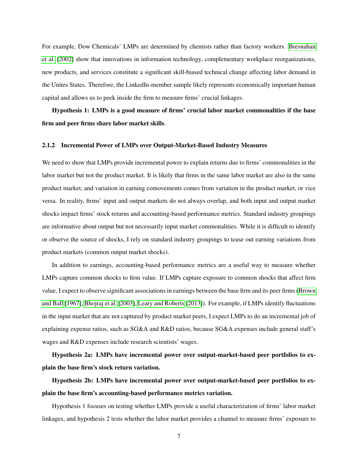For example, Dow Chemicals' LMPs are determined by chemists rather than factory workers. [Bresnahan](#page-32-0) [et al.](#page-32-0) [\[2002\]](#page-32-0) show that innovations in information technology, complementary workplace reorganizations, new products, and services constitute a significant skill-biased technical change affecting labor demand in the Unites States. Therefore, the LinkedIn-member sample likely represents economically important human capital and allows us to peek inside the firm to measure firms' crucial linkages.

Hypothesis 1: LMPs is a good measure of firms' crucial labor market commonalities if the base firm and peer firms share labor market skills.

### 2.1.2 Incremental Power of LMPs over Output-Market-Based Industry Measures

We need to show that LMPs provide incremental power to explain returns due to firms' commonalities in the labor market but not the product market. It is likely that firms in the same labor market are also in the same product market, and variation in earning comovements comes from variation in the product market, or vice versa. In reality, firms' input and output markets do not always overlap, and both input and output market shocks impact firms' stock returns and accounting-based performance metrics. Standard industry groupings are informative about output but not necessarily input market commonalities. While it is difficult to identify or observe the source of shocks, I rely on standard industry groupings to tease out earning variations from product markets (common output market shocks).

In addition to earnings, accounting-based performance metrics are a useful way to measure whether LMPs capture common shocks to firm value. If LMPs capture exposure to common shocks that affect firm value, I expect to observe significant associations in earnings between the base firm and its peer firms [\(Brown](#page-32-8) [and Ball](#page-32-8) [\[1967\]](#page-32-8), [Bhojraj et al.](#page-31-6) [\[2003\]](#page-31-6), [Leary and Roberts](#page-34-6) [\[2013\]](#page-34-6)). For example, if LMPs identify fluctuations in the input market that are not captured by product market peers, I expect LMPs to do an incremental job of explaining expense ratios, such as SG&A and R&D ratios, because SG&A expenses include general staff's wages and R&D expenses include research scientists' wages.

Hypothesis 2a: LMPs have incremental power over output-market-based peer portfolios to explain the base firm's stock return variation.

Hypothesis 2b: LMPs have incremental power over output-market-based peer portfolios to explain the base firm's accounting-based performance metrics variation.

Hypothesis 1 focuses on testing whether LMPs provide a useful characterization of firms' labor market linkages, and hypothesis 2 tests whether the labor market provides a channel to measure firms' exposure to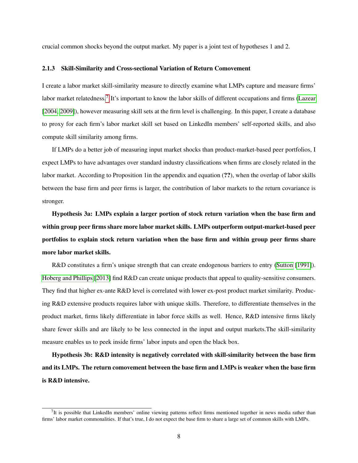crucial common shocks beyond the output market. My paper is a joint test of hypotheses 1 and 2.

### 2.1.3 Skill-Similarity and Cross-sectional Variation of Return Comovement

I create a labor market skill-similarity measure to directly examine what LMPs capture and measure firms' labor market relatedness.<sup>[7](#page-1-0)</sup> It's important to know the labor skills of different occupations and firms [\(Lazear](#page-33-6) [\[2004,](#page-33-6) [2009\]](#page-33-4)), however measuring skill sets at the firm level is challenging. In this paper, I create a database to proxy for each firm's labor market skill set based on LinkedIn members' self-reported skills, and also compute skill similarity among firms.

If LMPs do a better job of measuring input market shocks than product-market-based peer portfolios, I expect LMPs to have advantages over standard industry classifications when firms are closely related in the labor market. According to Proposition 1in the appendix and equation (??), when the overlap of labor skills between the base firm and peer firms is larger, the contribution of labor markets to the return covariance is stronger.

Hypothesis 3a: LMPs explain a larger portion of stock return variation when the base firm and within group peer firms share more labor market skills. LMPs outperform output-market-based peer portfolios to explain stock return variation when the base firm and within group peer firms share more labor market skills.

R&D constitutes a firm's unique strength that can create endogenous barriers to entry [\(Sutton](#page-34-7) [\[1991\]](#page-34-7)). [Hoberg and Phillips](#page-33-2) [\[2013\]](#page-33-2) find R&D can create unique products that appeal to quality-sensitive consumers. They find that higher ex-ante R&D level is correlated with lower ex-post product market similarity. Producing R&D extensive products requires labor with unique skills. Therefore, to differentiate themselves in the product market, firms likely differentiate in labor force skills as well. Hence, R&D intensive firms likely share fewer skills and are likely to be less connected in the input and output markets.The skill-similarity measure enables us to peek inside firms' labor inputs and open the black box.

Hypothesis 3b: R&D intensity is negatively correlated with skill-similarity between the base firm and its LMPs. The return comovement between the base firm and LMPs is weaker when the base firm is R&D intensive.

 $<sup>7</sup>$ It is possible that LinkedIn members' online viewing patterns reflect firms mentioned together in news media rather than</sup> firms' labor market commonalities. If that's true, I do not expect the base firm to share a large set of common skills with LMPs.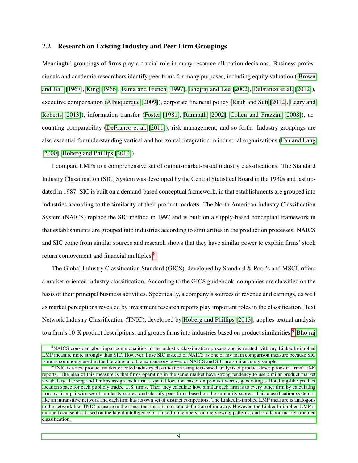### 2.2 Research on Existing Industry and Peer Firm Groupings

Meaningful groupings of firms play a crucial role in many resource-allocation decisions. Business professionals and academic researchers identify peer firms for many purposes, including equity valuation ( [Brown](#page-32-8) [and Ball](#page-32-8) [\[1967\]](#page-32-8), [King](#page-33-7) [\[1966\]](#page-33-7), [Fama and French](#page-33-8) [\[1997\]](#page-33-8), [Bhojraj and Lee](#page-31-7) [\[2002\]](#page-31-7), [DeFranco et al.](#page-32-9) [\[2012\]](#page-32-9)), executive compensation [\(Albuquerque](#page-31-8) [\[2009\]](#page-31-8)), corporate financial policy [\(Rauh and Sufi](#page-34-8) [\[2012\]](#page-34-8), [Leary and](#page-34-6) [Roberts](#page-34-6) [\[2013\]](#page-34-6)), information transfer [\(Foster](#page-33-9) [\[1981\]](#page-33-9), [Ramnath](#page-34-9) [\[2002\]](#page-34-9), [Cohen and Frazzini](#page-32-10) [\[2008\]](#page-32-10)), accounting comparability [\(DeFranco et al.](#page-32-11) [\[2011\]](#page-32-11)), risk management, and so forth. Industry groupings are also essential for understanding vertical and horizontal integration in industrial organizations [\(Fan and Lang](#page-33-10) [\[2000\]](#page-33-10), [Hoberg and Phillips](#page-33-1) [\[2010\]](#page-33-1)).

I compare LMPs to a comprehensive set of output-market-based industry classifications. The Standard Industry Classification (SIC) System was developed by the Central Statistical Board in the 1930s and last updated in 1987. SIC is built on a demand-based conceptual framework, in that establishments are grouped into industries according to the similarity of their product markets. The North American Industry Classification System (NAICS) replace the SIC method in 1997 and is built on a supply-based conceptual framework in that establishments are grouped into industries according to similarities in the production processes. NAICS and SIC come from similar sources and research shows that they have similar power to explain firms' stock return comovement and financial multiples.<sup>[8](#page-1-0)</sup>

The Global Industry Classification Standard (GICS), developed by Standard & Poor's and MSCI, offers a market-oriented industry classification. According to the GICS guidebook, companies are classified on the basis of their principal business activities. Specifically, a company's sources of revenue and earnings, as well as market perceptions revealed by investment research reports play important roles in the classification. Text Network Industry Classification (TNIC), developed by [Hoberg and Phillips](#page-33-2) [\[2013\]](#page-33-2), applies textual analysis to a firm's 10-K product descriptions, and groups firms into industries based on product similarities.<sup>[9](#page-1-0)</sup> [Bhojraj](#page-31-6)

 ${}^{8}$ [NAICS consider labor input commonalities in the industry classification process and is related with my LinkedIn-implied](#page-31-6) [LMP measure more strongly than SIC. However, I use SIC instead of NAICS as one of my main comparison measure because SIC](#page-31-6) [is more commonly used in the literature and the explanatory power of NAICS and SIC are similar in my sample.](#page-31-6)

 $9$ [TNIC is a new product market oriented industry classification using text-based analysis of product descriptions in firms' 10-K](#page-31-6) [reports. The idea of this measure is that firms operating in the same market have strong tendency to use similar product market](#page-31-6) [vocabulary. Hoberg and Philips assign each firm a spatial location based on product words, generating a Hotelling-like product](#page-31-6) [location space for each publicly traded U.S. firms. Then they calculate how similar each firm is to every other firm by calculating](#page-31-6) [firm-by-firm pairwise word similarity scores, and classify peer firms based on the similarity scores. This classification system is](#page-31-6) [like an intransitive network and each firm has its own set of distinct competitors. The LinkedIn-implied LMP measure is analogous](#page-31-6) [to the network like TNIC measure in the sense that there is no static definition of industry. However, the LinkedIn-implied LMP is](#page-31-6) [unique because it is based on the latent intelligence of LinkedIn members' online viewing patterns, and is a labor-market-oriented](#page-31-6) [classification.](#page-31-6)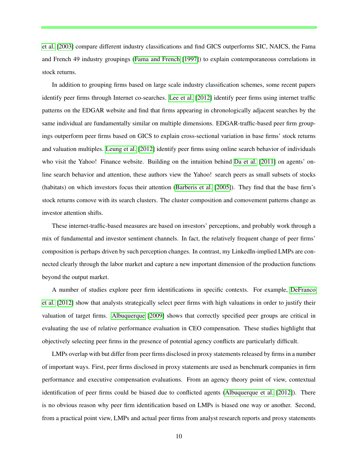[et al.](#page-31-6) [\[2003\]](#page-31-6) compare different industry classifications and find GICS outperforms SIC, NAICS, the Fama and French 49 industry groupings [\(Fama and French](#page-33-8) [\[1997\]](#page-33-8)) to explain contemporaneous correlations in stock returns.

In addition to grouping firms based on large scale industry classification schemes, some recent papers identify peer firms through Internet co-searches. [Lee et al.](#page-34-4) [\[2012\]](#page-34-4) identify peer firms using internet traffic patterns on the EDGAR website and find that firms appearing in chronologically adjacent searches by the same individual are fundamentally similar on multiple dimensions. EDGAR-traffic-based peer firm groupings outperform peer firms based on GICS to explain cross-sectional variation in base firms' stock returns and valuation multiples. [Leung et al.](#page-34-10) [\[2012\]](#page-34-10) identify peer firms using online search behavior of individuals who visit the Yahoo! Finance website. Building on the intuition behind [Da et al.](#page-32-7) [\[2011\]](#page-32-7) on agents' online search behavior and attention, these authors view the Yahoo! search peers as small subsets of stocks (habitats) on which investors focus their attention [\(Barberis et al.](#page-31-9) [\[2005\]](#page-31-9)). They find that the base firm's stock returns comove with its search clusters. The cluster composition and comovement patterns change as investor attention shifts.

These internet-traffic-based measures are based on investors' perceptions, and probably work through a mix of fundamental and investor sentiment channels. In fact, the relatively frequent change of peer firms' composition is perhaps driven by such perception changes. In contrast, my LinkedIn-implied LMPs are connected clearly through the labor market and capture a new important dimension of the production functions beyond the output market.

A number of studies explore peer firm identifications in specific contexts. For example, [DeFranco](#page-32-9) [et al.](#page-32-9) [\[2012\]](#page-32-9) show that analysts strategically select peer firms with high valuations in order to justify their valuation of target firms. [Albuquerque](#page-31-8) [\[2009\]](#page-31-8) shows that correctly specified peer groups are critical in evaluating the use of relative performance evaluation in CEO compensation. These studies highlight that objectively selecting peer firms in the presence of potential agency conflicts are particularly difficult.

LMPs overlap with but differ from peer firms disclosed in proxy statements released by firms in a number of important ways. First, peer firms disclosed in proxy statements are used as benchmark companies in firm performance and executive compensation evaluations. From an agency theory point of view, contextual identification of peer firms could be biased due to conflicted agents [\(Albuquerque et al.](#page-31-10) [\[2012\]](#page-31-10)). There is no obvious reason why peer firm identification based on LMPs is biased one way or another. Second, from a practical point view, LMPs and actual peer firms from analyst research reports and proxy statements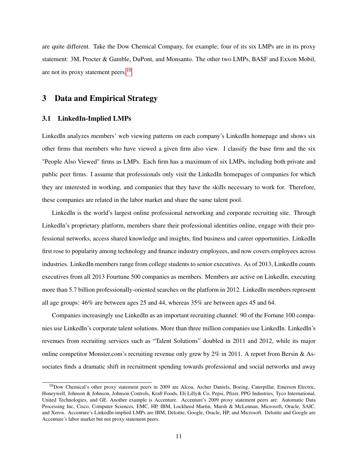are quite different. Take the Dow Chemical Company, for example; four of its six LMPs are in its proxy statement: 3M, Procter & Gamble, DuPont, and Monsanto. The other two LMPs, BASF and Exxon Mobil, are not its proxy statement peers.<sup>[10](#page-1-0)</sup>

### 3 Data and Empirical Strategy

### 3.1 LinkedIn-Implied LMPs

LinkedIn analyzes members' web viewing patterns on each company's LinkedIn homepage and shows six other firms that members who have viewed a given firm also view. I classify the base firm and the six "People Also Viewed" firms as LMPs. Each firm has a maximum of six LMPs, including both private and public peer firms. I assume that professionals only visit the LinkedIn homepages of companies for which they are interested in working, and companies that they have the skills necessary to work for. Therefore, these companies are related in the labor market and share the same talent pool.

LinkedIn is the world's largest online professional networking and corporate recruiting site. Through LinkedIn's proprietary platform, members share their professional identities online, engage with their professional networks, access shared knowledge and insights, find business and career opportunities. LinkedIn first rose to popularity among technology and finance industry employees, and now covers employees across industries. LinkedIn members range from college students to senior executives. As of 2013, LinkedIn counts executives from all 2013 Fourtune 500 companies as members. Members are active on LinkedIn, executing more than 5.7 billion professionally-oriented searches on the platform in 2012. LinkedIn members represent all age groups: 46% are between ages 25 and 44, whereas 35% are between ages 45 and 64.

Companies increasingly use LinkedIn as an important recruiting channel: 90 of the Fortune 100 companies use LinkedIn's corporate talent solutions. More than three million companies use LinkedIn. LinkedIn's revenues from recruiting services such as "Talent Solutions" doubled in 2011 and 2012, while its major online competitor Monster.com's recruiting revenue only grew by 2% in 2011. A report from Bersin & Associates finds a dramatic shift in recruitment spending towards professional and social networks and away

 $10$ Dow Chemical's other proxy statement peers in 2009 are Alcoa, Archer Daniels, Boeing, Caterpillar, Emerson Electric, Honeywell, Johnson & Johnson, Johnson Controls, Kraft Foods, Eli Lilly& Co, Pepsi, Pfizer, PPG Industries, Tyco International, United Technologies, and GE. Another example is Accenture. Accenture's 2009 proxy statement peers are: Automatic Data Processing Inc, Cisco, Computer Sciences, EMC, HP, IBM, Lockheed Martin, Marsh & McLennan, Microsoft, Oracle, SAIC, and Xerox. Accenture's LinkedIn-implied LMPs are IBM, Deloitte, Google, Oracle, HP, and Microsoft. Deloitte and Google are Accenture's labor market but not proxy statement peers.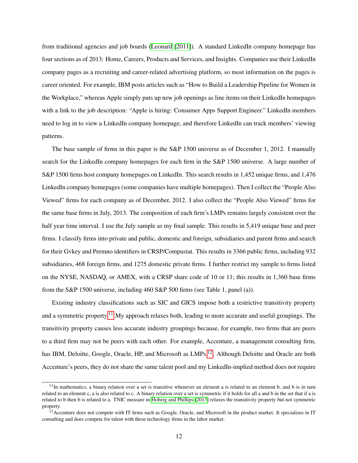from traditional agencies and job boards [\(Leonard](#page-34-11) [\[2011\]](#page-34-11)). A standard LinkedIn company homepage has four sections as of 2013: Home, Careers, Products and Services, and Insights. Companies use their LinkedIn company pages as a recruiting and career-related advertising platform, so most information on the pages is career oriented. For example, IBM posts articles such as "How to Build a Leadership Pipeline for Women in the Workplace," whereas Apple simply puts up new job openings as line items on their LinkedIn homepages with a link to the job description: "Apple is hiring: Consumer Apps Support Engineer." LinkedIn members need to log in to view a LinkedIn company homepage, and therefore LinkedIn can track members' viewing patterns.

The base sample of firms in this paper is the S&P 1500 universe as of December 1, 2012. I manually search for the LinkedIn company homepages for each firm in the S&P 1500 universe. A large number of S&P 1500 firms host company homepages on LinkedIn. This search results in 1,452 unique firms, and 1,476 LinkedIn company homepages (some companies have multiple homepages). Then I collect the "People Also Viewed" firms for each company as of December, 2012. I also collect the "People Also Viewed" firms for the same base firms in July, 2013. The composition of each firm's LMPs remains largely consistent over the half year time interval. I use the July sample as my final sample. This results in 5,419 unique base and peer firms. I classify firms into private and public, domestic and foreign, subsidiaries and parent firms and search for their Gvkey and Permno identifiers in CRSP/Compustat. This results in 3366 public firms, including 932 subsidiaries, 468 foreign firms, and 1275 domestic private firms. I further restrict my sample to firms listed on the NYSE, NASDAQ, or AMEX, with a CRSP share code of 10 or 11; this results in 1,360 base firms from the S&P 1500 universe, including 460 S&P 500 firms (see Table 1, panel (a)).

Existing industry classifications such as SIC and GICS impose both a restrictive transitivity property and a symmetric property.<sup>[11](#page-1-0)</sup> My approach relaxes both, leading to more accurate and useful groupings. The transitivity property causes less accurate industry groupings because, for example, two firms that are peers to a third firm may not be peers with each other. For example, Accenture, a management consulting firm, has IBM, Deloitte, Google, Oracle, HP, and Microsoft as LMPs.<sup>[12](#page-1-0)</sup>. Although Deloitte and Oracle are both Accenture's peers, they do not share the same talent pool and my LinkedIn-implied method does not require

 $11$ In mathematics, a binary relation over a set is transitive whenever an element a is related to an element b, and b is in turn related to an element c, a is also related to c. A binary relation over a set is symmetric if it holds for all a and b in the set that if a is related to b then b is related to a. TNIC measure in [Hoberg and Phillips](#page-33-2) [\[2013\]](#page-33-2) relaxes the transitivity property but not symmetric property.

 $^{12}$ Accenture does not compete with IT firms such as Google, Oracle, and Microsoft in the product market. It specializes in IT consulting and does compete for talent with these technology firms in the labor market.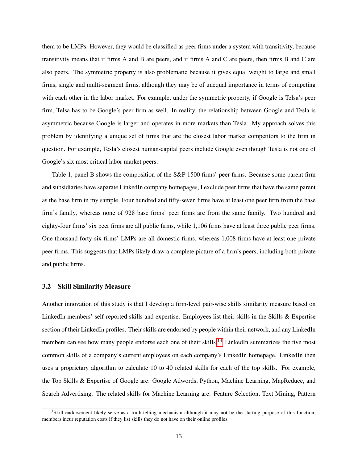them to be LMPs. However, they would be classified as peer firms under a system with transitivity, because transitivity means that if firms A and B are peers, and if firms A and C are peers, then firms B and C are also peers. The symmetric property is also problematic because it gives equal weight to large and small firms, single and multi-segment firms, although they may be of unequal importance in terms of competing with each other in the labor market. For example, under the symmetric property, if Google is Telsa's peer firm, Telsa has to be Google's peer firm as well. In reality, the relationship between Google and Tesla is asymmetric because Google is larger and operates in more markets than Tesla. My approach solves this problem by identifying a unique set of firms that are the closest labor market competitors to the firm in question. For example, Tesla's closest human-capital peers include Google even though Tesla is not one of Google's six most critical labor market peers.

Table 1, panel B shows the composition of the S&P 1500 firms' peer firms. Because some parent firm and subsidiaries have separate LinkedIn company homepages, I exclude peer firms that have the same parent as the base firm in my sample. Four hundred and fifty-seven firms have at least one peer firm from the base firm's family, whereas none of 928 base firms' peer firms are from the same family. Two hundred and eighty-four firms' six peer firms are all public firms, while 1,106 firms have at least three public peer firms. One thousand forty-six firms' LMPs are all domestic firms, whereas 1,008 firms have at least one private peer firms. This suggests that LMPs likely draw a complete picture of a firm's peers, including both private and public firms.

### 3.2 Skill Similarity Measure

Another innovation of this study is that I develop a firm-level pair-wise skills similarity measure based on LinkedIn members' self-reported skills and expertise. Employees list their skills in the Skills & Expertise section of their LinkedIn profiles. Their skills are endorsed by people within their network, and any LinkedIn members can see how many people endorse each one of their skills.<sup>[13](#page-1-0)</sup> LinkedIn summarizes the five most common skills of a company's current employees on each company's LinkedIn homepage. LinkedIn then uses a proprietary algorithm to calculate 10 to 40 related skills for each of the top skills. For example, the Top Skills & Expertise of Google are: Google Adwords, Python, Machine Learning, MapReduce, and Search Advertising. The related skills for Machine Learning are: Feature Selection, Text Mining, Pattern

 $13$ Skill endorsement likely serve as a truth-telling mechanism although it may not be the starting purpose of this function; members incur reputation costs if they list skills they do not have on their online profiles.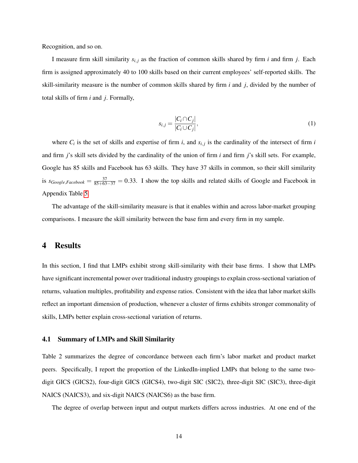Recognition, and so on.

I measure firm skill similarity *si*, *<sup>j</sup>* as the fraction of common skills shared by firm *i* and firm *j*. Each firm is assigned approximately 40 to 100 skills based on their current employees' self-reported skills. The skill-similarity measure is the number of common skills shared by firm *i* and *j*, divided by the number of total skills of firm *i* and *j*. Formally,

<span id="page-15-0"></span>
$$
s_{i,j} = \frac{|C_i \cap C_j|}{|C_i \cup C_j|},\tag{1}
$$

where  $C_i$  is the set of skills and expertise of firm *i*, and  $s_{i,j}$  is the cardinality of the intersect of firm *i* and firm *j*'s skill sets divided by the cardinality of the union of firm *i* and firm *j*'s skill sets. For example, Google has 85 skills and Facebook has 63 skills. They have 37 skills in common, so their skill similarity is  $s_{Google, Facebook} = \frac{37}{85+63-37} = 0.33$ . I show the top skills and related skills of Google and Facebook in Appendix Table [5.](#page-49-0)

The advantage of the skill-similarity measure is that it enables within and across labor-market grouping comparisons. I measure the skill similarity between the base firm and every firm in my sample.

### 4 Results

In this section, I find that LMPs exhibit strong skill-similarity with their base firms. I show that LMPs have significant incremental power over traditional industry groupings to explain cross-sectional variation of returns, valuation multiples, profitability and expense ratios. Consistent with the idea that labor market skills reflect an important dimension of production, whenever a cluster of firms exhibits stronger commonality of skills, LMPs better explain cross-sectional variation of returns.

### 4.1 Summary of LMPs and Skill Similarity

Table 2 summarizes the degree of concordance between each firm's labor market and product market peers. Specifically, I report the proportion of the LinkedIn-implied LMPs that belong to the same twodigit GICS (GICS2), four-digit GICS (GICS4), two-digit SIC (SIC2), three-digit SIC (SIC3), three-digit NAICS (NAICS3), and six-digit NAICS (NAICS6) as the base firm.

The degree of overlap between input and output markets differs across industries. At one end of the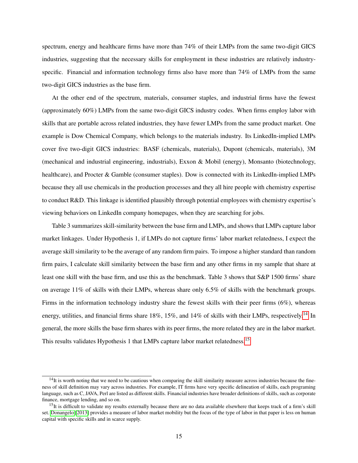spectrum, energy and healthcare firms have more than 74% of their LMPs from the same two-digit GICS industries, suggesting that the necessary skills for employment in these industries are relatively industryspecific. Financial and information technology firms also have more than 74% of LMPs from the same two-digit GICS industries as the base firm.

At the other end of the spectrum, materials, consumer staples, and industrial firms have the fewest (approximately 60%) LMPs from the same two-digit GICS industry codes. When firms employ labor with skills that are portable across related industries, they have fewer LMPs from the same product market. One example is Dow Chemical Company, which belongs to the materials industry. Its LinkedIn-implied LMPs cover five two-digit GICS industries: BASF (chemicals, materials), Dupont (chemicals, materials), 3M (mechanical and industrial engineering, industrials), Exxon & Mobil (energy), Monsanto (biotechnology, healthcare), and Procter & Gamble (consumer staples). Dow is connected with its LinkedIn-implied LMPs because they all use chemicals in the production processes and they all hire people with chemistry expertise to conduct R&D. This linkage is identified plausibly through potential employees with chemistry expertise's viewing behaviors on LinkedIn company homepages, when they are searching for jobs.

Table 3 summarizes skill-similarity between the base firm and LMPs, and shows that LMPs capture labor market linkages. Under Hypothesis 1, if LMPs do not capture firms' labor market relatedness, I expect the average skill similarity to be the average of any random firm pairs. To impose a higher standard than random firm pairs, I calculate skill similarity between the base firm and any other firms in my sample that share at least one skill with the base firm, and use this as the benchmark. Table 3 shows that S&P 1500 firms' share on average 11% of skills with their LMPs, whereas share only 6.5% of skills with the benchmark groups. Firms in the information technology industry share the fewest skills with their peer firms (6%), whereas energy, utilities, and financial firms share 18%, 15%, and [14](#page-1-0)% of skills with their LMPs, respectively.<sup>14</sup> In general, the more skills the base firm shares with its peer firms, the more related they are in the labor market. This results validates Hypothesis 1 that LMPs capture labor market relatedness.<sup>[15](#page-1-0)</sup>

 $14$ It is worth noting that we need to be cautious when comparing the skill similarity measure across industries because the fineness of skill definition may vary across industries. For example, IT firms have very specific delineation of skills, each programing language, such as C, JAVA, Perl are listed as different skills. Financial industries have broader definitions of skills, such as corporate finance, mortgage lending, and so on.

 $15$ It is difficult to validate my results externally because there are no data available elsewhere that keeps track of a firm's skill set. [Donangelo](#page-32-2) [\[2013\]](#page-32-2) provides a measure of labor market mobility but the focus of the type of labor in that paper is less on human capital with specific skills and in scarce supply.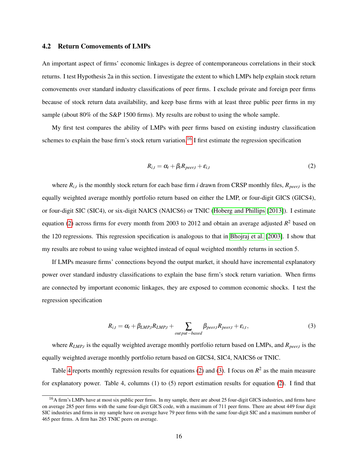### 4.2 Return Comovements of LMPs

An important aspect of firms' economic linkages is degree of contemporaneous correlations in their stock returns. I test Hypothesis 2a in this section. I investigate the extent to which LMPs help explain stock return comovements over standard industry classifications of peer firms. I exclude private and foreign peer firms because of stock return data availability, and keep base firms with at least three public peer firms in my sample (about 80% of the S&P 1500 firms). My results are robust to using the whole sample.

My first test compares the ability of LMPs with peer firms based on existing industry classification schemes to explain the base firm's stock return variation.<sup>[16](#page-1-0)</sup> I first estimate the regression specification

<span id="page-17-0"></span>
$$
R_{i,t} = \alpha_t + \beta_t R_{peer,t} + \varepsilon_{i,t} \tag{2}
$$

where  $R_{i,t}$  is the monthly stock return for each base firm *i* drawn from CRSP monthly files,  $R_{peer,t}$  is the equally weighted average monthly portfolio return based on either the LMP, or four-digit GICS (GICS4), or four-digit SIC (SIC4), or six-digit NAICS (NAICS6) or TNIC [\(Hoberg and Phillips](#page-33-2) [\[2013\]](#page-33-2)). I estimate equation [\(2\)](#page-17-0) across firms for every month from 2003 to 2012 and obtain an average adjusted *R* <sup>2</sup> based on the 120 regressions. This regression specification is analogous to that in [Bhojraj et al.](#page-31-6) [\[2003\]](#page-31-6). I show that my results are robust to using value weighted instead of equal weighted monthly returns in section 5.

If LMPs measure firms' connections beyond the output market, it should have incremental explanatory power over standard industry classifications to explain the base firm's stock return variation. When firms are connected by important economic linkages, they are exposed to common economic shocks. I test the regression specification

<span id="page-17-1"></span>
$$
R_{i,t} = \alpha_t + \beta_{LMP,t} R_{LMP,t} + \sum_{output-based} \beta_{peer,t} R_{peer,t} + \varepsilon_{i,t},
$$
\n(3)

where *RLMP*,*<sup>t</sup>* is the equally weighted average monthly portfolio return based on LMPs, and *Rpeer*,*<sup>t</sup>* is the equally weighted average monthly portfolio return based on GICS4, SIC4, NAICS6 or TNIC.

Table [4](#page-39-0) reports monthly regression results for equations [\(2\)](#page-17-0) and [\(3\)](#page-17-1). I focus on  $R^2$  as the main measure for explanatory power. Table 4, columns (1) to (5) report estimation results for equation [\(2\)](#page-17-0). I find that

<sup>&</sup>lt;sup>16</sup>A firm's LMPs have at most six public peer firms. In my sample, there are about 25 four-digit GICS industries, and firms have on average 285 peer firms with the same four-digit GICS code, with a maximum of 711 peer firms. There are about 449 four digit SIC industries and firms in my sample have on average have 79 peer firms with the same four-digit SIC and a maximum number of 465 peer firms. A firm has 285 TNIC peers on average.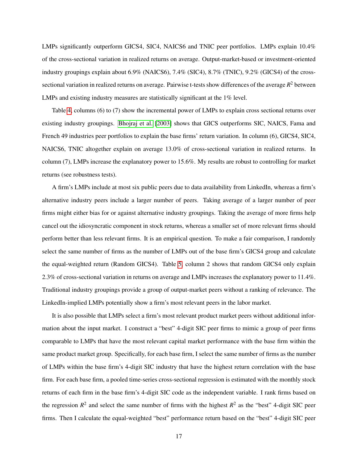LMPs significantly outperform GICS4, SIC4, NAICS6 and TNIC peer portfolios. LMPs explain 10.4% of the cross-sectional variation in realized returns on average. Output-market-based or investment-oriented industry groupings explain about 6.9% (NAICS6), 7.4% (SIC4), 8.7% (TNIC), 9.2% (GICS4) of the crosssectional variation in realized returns on average. Pairwise t-tests show differences of the average  $R^2$  between LMPs and existing industry measures are statistically significant at the 1% level.

Table [4,](#page-39-0) columns (6) to (7) show the incremental power of LMPs to explain cross sectional returns over existing industry groupings. [Bhojraj et al.](#page-31-6) [\[2003\]](#page-31-6) shows that GICS outperforms SIC, NAICS, Fama and French 49 industries peer portfolios to explain the base firms' return variation. In column (6), GICS4, SIC4, NAICS6, TNIC altogether explain on average 13.0% of cross-sectional variation in realized returns. In column (7), LMPs increase the explanatory power to 15.6%. My results are robust to controlling for market returns (see robustness tests).

A firm's LMPs include at most six public peers due to data availability from LinkedIn, whereas a firm's alternative industry peers include a larger number of peers. Taking average of a larger number of peer firms might either bias for or against alternative industry groupings. Taking the average of more firms help cancel out the idiosyncratic component in stock returns, whereas a smaller set of more relevant firms should perform better than less relevant firms. It is an empirical question. To make a fair comparison, I randomly select the same number of firms as the number of LMPs out of the base firm's GICS4 group and calculate the equal-weighted return (Random GICS4). Table [5,](#page-40-0) column 2 shows that random GICS4 only explain 2.3% of cross-sectional variation in returns on average and LMPs increases the explanatory power to 11.4%. Traditional industry groupings provide a group of output-market peers without a ranking of relevance. The LinkedIn-implied LMPs potentially show a firm's most relevant peers in the labor market.

It is also possible that LMPs select a firm's most relevant product market peers without additional information about the input market. I construct a "best" 4-digit SIC peer firms to mimic a group of peer firms comparable to LMPs that have the most relevant capital market performance with the base firm within the same product market group. Specifically, for each base firm, I select the same number of firms as the number of LMPs within the base firm's 4-digit SIC industry that have the highest return correlation with the base firm. For each base firm, a pooled time-series cross-sectional regression is estimated with the monthly stock returns of each firm in the base firm's 4-digit SIC code as the independent variable. I rank firms based on the regression  $R^2$  and select the same number of firms with the highest  $R^2$  as the "best" 4-digit SIC peer firms. Then I calculate the equal-weighted "best" performance return based on the "best" 4-digit SIC peer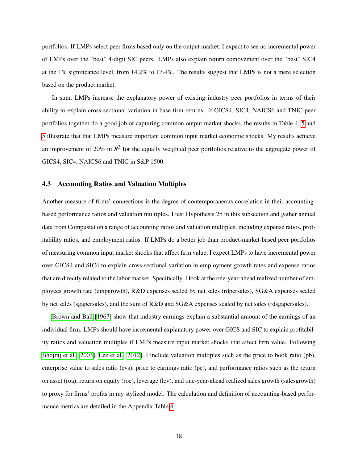portfolios. If LMPs select peer firms based only on the output market, I expect to see no incremental power of LMPs over the "best" 4-digit SIC peers. LMPs also explain return comovement over the "best" SIC4 at the 1% significance level, from 14.2% to 17.4%. The results suggest that LMPs is not a mere selection based on the product market.

In sum, LMPs increase the explanatory power of existing industry peer portfolios in terms of their ability to explain cross-sectional variation in base firm returns. If GICS4, SIC4, NAICS6 and TNIC peer portfolios together do a good job of capturing common output market shocks, the results in Table 4, [5](#page-40-0) and [5](#page-40-0) illustrate that that LMPs measure important common input market economic shocks. My results achieve an improvement of 20% in  $R^2$  for the equally weighted peer portfolios relative to the aggregate power of GICS4, SIC4, NAICS6 and TNIC in S&P 1500.

### 4.3 Accounting Ratios and Valuation Multiples

Another measure of firms' connections is the degree of contemporaneous correlation in their accountingbased performance ratios and valuation multiples. I test Hypothesis 2b in this subsection and gather annual data from Compustat on a range of accounting ratios and valuation multiples, including expense ratios, profitability ratios, and employment ratios. If LMPs do a better job than product-market-based peer portfolios of measuring common input market shocks that affect firm value, I expect LMPs to have incremental power over GICS4 and SIC4 to explain cross-sectional variation in employment growth rates and expense ratios that are directly related to the labor market. Specifically, I look at the one-year-ahead realized number of employees growth rate (empgrowth), R&D expenses scaled by net sales (rdpersales), SG&A expenses scaled by net sales (sgapersales), and the sum of R&D and SG&A expenses scaled by net sales (rdsgapersales).

[Brown and Ball](#page-32-8) [\[1967\]](#page-32-8) show that industry earnings explain a substantial amount of the earnings of an individual firm. LMPs should have incremental explanatory power over GICS and SIC to explain profitability ratios and valuation multiples if LMPs measure input market shocks that affect firm value. Following [Bhojraj et al.](#page-31-6) [\[2003\]](#page-31-6), [Lee et al.](#page-34-4) [\[2012\]](#page-34-4), I include valuation multiples such as the price to book ratio (pb), enterprise value to sales ratio (evs), price to earnings ratio (pe), and performance ratios such as the return on asset (roa), return on equity (roe), leverage (lev), and one-year-ahead realized sales growth (salesgrowth) to proxy for firms' profits in my stylized model. The calculation and definition of accounting-based performance metrics are detailed in the Appendix Table [4.](#page-48-0)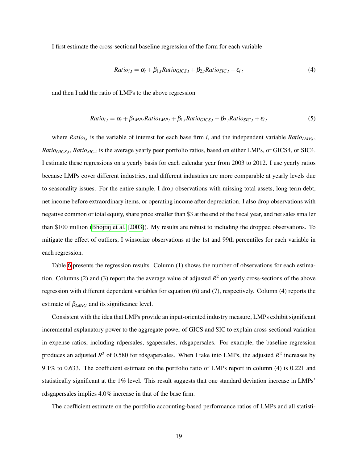I first estimate the cross-sectional baseline regression of the form for each variable

$$
Ratio_{i,t} = \alpha_t + \beta_{1,t} Ratio_{GICS,t} + \beta_{2,t} Ratio_{SIC,t} + \varepsilon_{i,t}
$$
\n
$$
\tag{4}
$$

and then I add the ratio of LMPs to the above regression

$$
Ratio_{i,t} = \alpha_t + \beta_{LMP,t} Ratio_{LMP,t} + \beta_{1,t} Ratio_{GICS,t} + \beta_{2,t} Ratio_{SIC,t} + \varepsilon_{i,t}
$$
(5)

where *Ratio<sub>i,t</sub>* is the variable of interest for each base firm *i*, and the independent variable *Ratio*<sub>*LMP,t*</sub>, *Ratio<sub>GICS,t</sub>*, *Ratio<sub>SIC,t</sub>* is the average yearly peer portfolio ratios, based on either LMPs, or GICS4, or SIC4. I estimate these regressions on a yearly basis for each calendar year from 2003 to 2012. I use yearly ratios because LMPs cover different industries, and different industries are more comparable at yearly levels due to seasonality issues. For the entire sample, I drop observations with missing total assets, long term debt, net income before extraordinary items, or operating income after depreciation. I also drop observations with negative common or total equity, share price smaller than \$3 at the end of the fiscal year, and net sales smaller than \$100 million [\(Bhojraj et al.](#page-31-6) [\[2003\]](#page-31-6)). My results are robust to including the dropped observations. To mitigate the effect of outliers, I winsorize observations at the 1st and 99th percentiles for each variable in each regression.

Table [6](#page-41-0) presents the regression results. Column (1) shows the number of observations for each estimation. Columns (2) and (3) report the the average value of adjusted  $R^2$  on yearly cross-sections of the above regression with different dependent variables for equation (6) and (7), respectively. Column (4) reports the estimate of  $\beta_{LMPt}$  and its significance level.

Consistent with the idea that LMPs provide an input-oriented industry measure, LMPs exhibit significant incremental explanatory power to the aggregate power of GICS and SIC to explain cross-sectional variation in expense ratios, including rdpersales, sgapersales, rdsgapersales. For example, the baseline regression produces an adjusted  $R^2$  of 0.580 for rdsgapersales. When I take into LMPs, the adjusted  $R^2$  increases by 9.1% to 0.633. The coefficient estimate on the portfolio ratio of LMPs report in column (4) is 0.221 and statistically significant at the 1% level. This result suggests that one standard deviation increase in LMPs' rdsgapersales implies 4.0% increase in that of the base firm.

The coefficient estimate on the portfolio accounting-based performance ratios of LMPs and all statisti-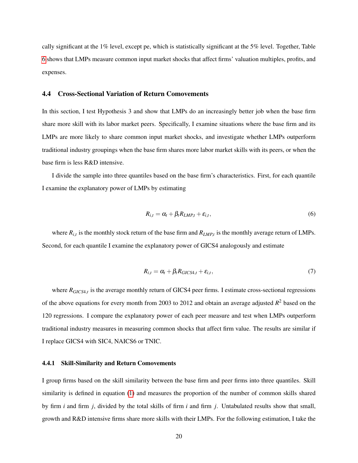cally significant at the 1% level, except pe, which is statistically significant at the 5% level. Together, Table [6](#page-41-0) shows that LMPs measure common input market shocks that affect firms' valuation multiples, profits, and expenses.

### 4.4 Cross-Sectional Variation of Return Comovements

In this section, I test Hypothesis 3 and show that LMPs do an increasingly better job when the base firm share more skill with its labor market peers. Specifically, I examine situations where the base firm and its LMPs are more likely to share common input market shocks, and investigate whether LMPs outperform traditional industry groupings when the base firm shares more labor market skills with its peers, or when the base firm is less R&D intensive.

I divide the sample into three quantiles based on the base firm's characteristics. First, for each quantile I examine the explanatory power of LMPs by estimating

$$
R_{i,t} = \alpha_t + \beta_t R_{LMP,t} + \varepsilon_{i,t}, \qquad (6)
$$

where  $R_{i,t}$  is the monthly stock return of the base firm and  $R_{LMP,t}$  is the monthly average return of LMPs. Second, for each quantile I examine the explanatory power of GICS4 analogously and estimate

$$
R_{i,t} = \alpha_t + \beta_t R_{GICS4,t} + \varepsilon_{i,t},\tag{7}
$$

where *RGICS*4,*<sup>t</sup>* is the average monthly return of GICS4 peer firms. I estimate cross-sectional regressions of the above equations for every month from 2003 to 2012 and obtain an average adjusted  $R^2$  based on the 120 regressions. I compare the explanatory power of each peer measure and test when LMPs outperform traditional industry measures in measuring common shocks that affect firm value. The results are similar if I replace GICS4 with SIC4, NAICS6 or TNIC.

### 4.4.1 Skill-Similarity and Return Comovements

I group firms based on the skill similarity between the base firm and peer firms into three quantiles. Skill similarity is defined in equation [\(1\)](#page-15-0) and measures the proportion of the number of common skills shared by firm *i* and firm *j*, divided by the total skills of firm *i* and firm *j*. Untabulated results show that small, growth and R&D intensive firms share more skills with their LMPs. For the following estimation, I take the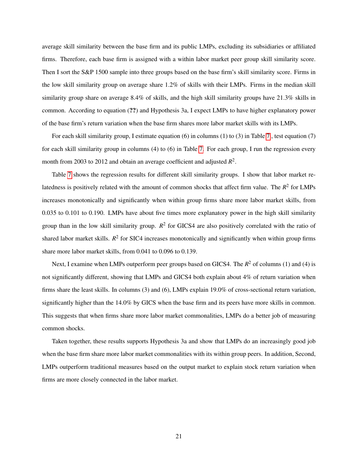average skill similarity between the base firm and its public LMPs, excluding its subsidiaries or affiliated firms. Therefore, each base firm is assigned with a within labor market peer group skill similarity score. Then I sort the S&P 1500 sample into three groups based on the base firm's skill similarity score. Firms in the low skill similarity group on average share 1.2% of skills with their LMPs. Firms in the median skill similarity group share on average 8.4% of skills, and the high skill similarity groups have 21.3% skills in common. According to equation (??) and Hypothesis 3a, I expect LMPs to have higher explanatory power of the base firm's return variation when the base firm shares more labor market skills with its LMPs.

For each skill similarity group, I estimate equation (6) in columns (1) to (3) in Table [7](#page-42-0) , test equation (7) for each skill similarity group in columns (4) to (6) in Table [7.](#page-42-0) For each group, I run the regression every month from 2003 to 2012 and obtain an average coefficient and adjusted *R* 2 .

Table [7](#page-42-0) shows the regression results for different skill similarity groups. I show that labor market relatedness is positively related with the amount of common shocks that affect firm value. The  $R^2$  for LMPs increases monotonically and significantly when within group firms share more labor market skills, from 0.035 to 0.101 to 0.190. LMPs have about five times more explanatory power in the high skill similarity group than in the low skill similarity group.  $R^2$  for GICS4 are also positively correlated with the ratio of shared labor market skills. *R*<sup>2</sup> for SIC4 increases monotonically and significantly when within group firms share more labor market skills, from 0.041 to 0.096 to 0.139.

Next, I examine when LMPs outperform peer groups based on GICS4. The  $R^2$  of columns (1) and (4) is not significantly different, showing that LMPs and GICS4 both explain about 4% of return variation when firms share the least skills. In columns (3) and (6), LMPs explain 19.0% of cross-sectional return variation, significantly higher than the 14.0% by GICS when the base firm and its peers have more skills in common. This suggests that when firms share more labor market commonalities, LMPs do a better job of measuring common shocks.

Taken together, these results supports Hypothesis 3a and show that LMPs do an increasingly good job when the base firm share more labor market commonalities with its within group peers. In addition, Second, LMPs outperform traditional measures based on the output market to explain stock return variation when firms are more closely connected in the labor market.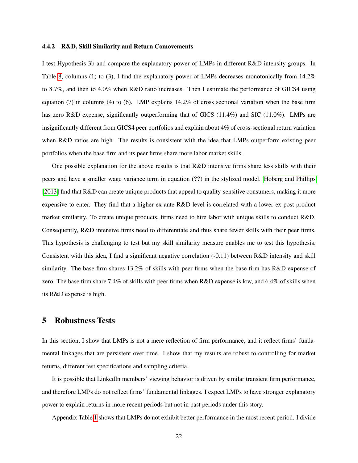### 4.4.2 R&D, Skill Similarity and Return Comovements

I test Hypothesis 3b and compare the explanatory power of LMPs in different R&D intensity groups. In Table [8,](#page-43-0) columns (1) to (3), I find the explanatory power of LMPs decreases monotonically from 14.2% to 8.7%, and then to 4.0% when R&D ratio increases. Then I estimate the performance of GICS4 using equation (7) in columns (4) to (6). LMP explains 14.2% of cross sectional variation when the base firm has zero R&D expense, significantly outperforming that of GICS (11.4%) and SIC (11.0%). LMPs are insignificantly different from GICS4 peer portfolios and explain about 4% of cross-sectional return variation when R&D ratios are high. The results is consistent with the idea that LMPs outperform existing peer portfolios when the base firm and its peer firms share more labor market skills.

One possible explanation for the above results is that R&D intensive firms share less skills with their peers and have a smaller wage variance term in equation (??) in the stylized model. [Hoberg and Phillips](#page-33-2) [\[2013\]](#page-33-2) find that R&D can create unique products that appeal to quality-sensitive consumers, making it more expensive to enter. They find that a higher ex-ante R&D level is correlated with a lower ex-post product market similarity. To create unique products, firms need to hire labor with unique skills to conduct R&D. Consequently, R&D intensive firms need to differentiate and thus share fewer skills with their peer firms. This hypothesis is challenging to test but my skill similarity measure enables me to test this hypothesis. Consistent with this idea, I find a significant negative correlation (-0.11) between R&D intensity and skill similarity. The base firm shares 13.2% of skills with peer firms when the base firm has R&D expense of zero. The base firm share 7.4% of skills with peer firms when R&D expense is low, and 6.4% of skills when its R&D expense is high.

### 5 Robustness Tests

In this section, I show that LMPs is not a mere reflection of firm performance, and it reflect firms' fundamental linkages that are persistent over time. I show that my results are robust to controlling for market returns, different test specifications and sampling criteria.

It is possible that LinkedIn members' viewing behavior is driven by similar transient firm performance, and therefore LMPs do not reflect firms' fundamental linkages. I expect LMPs to have stronger explanatory power to explain returns in more recent periods but not in past periods under this story.

Appendix Table [1](#page-44-0) shows that LMPs do not exhibit better performance in the most recent period. I divide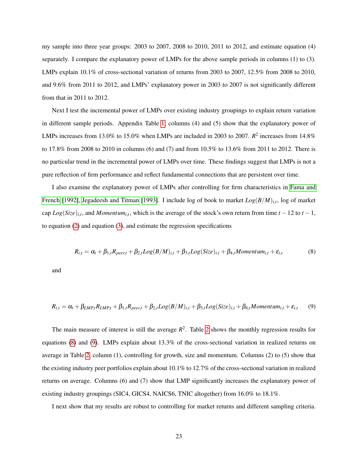my sample into three year groups: 2003 to 2007, 2008 to 2010, 2011 to 2012, and estimate equation (4) separately. I compare the explanatory power of LMPs for the above sample periods in columns (1) to (3). LMPs explain  $10.1\%$  of cross-sectional variation of returns from 2003 to 2007, 12.5% from 2008 to 2010, and 9.6% from 2011 to 2012, and LMPs' explanatory power in 2003 to 2007 is not significantly different from that in 2011 to 2012.

Next I test the incremental power of LMPs over existing industry groupings to explain return variation in different sample periods. Appendix Table [1,](#page-44-0) columns (4) and (5) show that the explanatory power of LMPs increases from 13.0% to 15.0% when LMPs are included in 2003 to 2007.  $R^2$  increases from 14.8% to 17.8% from 2008 to 2010 in columns (6) and (7) and from 10.5% to 13.6% from 2011 to 2012. There is no particular trend in the incremental power of LMPs over time. These findings suggest that LMPs is not a pure reflection of firm performance and reflect fundamental connections that are persistent over time.

I also examine the explanatory power of LMPs after controlling for firm characteristics in [Fama and](#page-33-11) [French](#page-33-11) [\[1992\]](#page-33-11), [Jegadeesh and Titman](#page-33-12) [\[1993\]](#page-33-12). I include log of book to market *Log*(*B*/*M*)*i*,*<sup>t</sup>* , log of market  $\text{cap } Log(Size)_{i,t}$ , and *Momentum*<sub>*i*,*t*</sub>, which is the average of the stock's own return from time *t* – 12 to *t* – 1, to equation [\(2\)](#page-17-0) and equation [\(3\)](#page-17-1), and estimate the regression specifications

<span id="page-24-0"></span>
$$
R_{i,t} = \alpha_t + \beta_{1,t} R_{peer,t} + \beta_{2,t} Log(B/M)_{i,t} + \beta_{3,t} Log(Size)_{i,t} + \beta_{4,t} Momentum_{i,t} + \varepsilon_{i,t}
$$
(8)

and

<span id="page-24-1"></span>
$$
R_{i,t} = \alpha_t + \beta_{LMP,t} R_{LMP,t} + \beta_{1,t} R_{peer,t} + \beta_{2,t} Log(B/M)_{i,t} + \beta_{3,t} Log(Size)_{i,t} + \beta_{4,t} Momentum_{i,t} + \varepsilon_{i,t}
$$
(9)

The main measure of interest is still the average  $R^2$ . Table [2](#page-45-0) shows the monthly regression results for equations [\(8\)](#page-24-0) and [\(9\)](#page-24-1). LMPs explain about 13.3% of the cross-sectional variation in realized returns on average in Table [2,](#page-45-0) column (1), controlling for growth, size and momentum. Columns (2) to (5) show that the existing industry peer portfolios explain about 10.1% to 12.7% of the cross-sectional variation in realized returns on average. Columns (6) and (7) show that LMP significantly increases the explanatory power of existing industry groupings (SIC4, GICS4, NAICS6, TNIC altogether) from 16.0% to 18.1%.

I next show that my results are robust to controlling for market returns and different sampling criteria.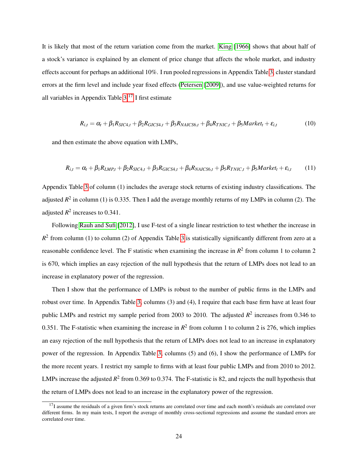It is likely that most of the return variation come from the market. [King](#page-33-7) [\[1966\]](#page-33-7) shows that about half of a stock's variance is explained by an element of price change that affects the whole market, and industry effects account for perhaps an additional 10%. I run pooled regressions in Appendix Table [3,](#page-47-0) cluster standard errors at the firm level and include year fixed effects [\(Petersen](#page-34-12) [\[2009\]](#page-34-12)), and use value-weighted returns for all variables in Appendix Table  $3<sup>17</sup>$  $3<sup>17</sup>$  $3<sup>17</sup>$  I first estimate

$$
R_{i,t} = \alpha_t + \beta_1 R_{SIC4,t} + \beta_2 R_{GICS4,t} + \beta_3 R_{NALCS6,t} + \beta_4 R_{TNIC,t} + \beta_5 Marker_t + \varepsilon_{i,t}
$$
(10)

and then estimate the above equation with LMPs,

$$
R_{i,t} = \alpha_t + \beta_1 R_{LMP,t} + \beta_2 R_{SIC4,t} + \beta_3 R_{GIC54,t} + \beta_4 R_{NAICS6,t} + \beta_5 R_{TNIC,t} + \beta_5 Marker_t + \varepsilon_{i,t}
$$
(11)

Appendix Table [3](#page-47-0) of column (1) includes the average stock returns of existing industry classifications. The adjusted  $R^2$  in column (1) is 0.335. Then I add the average monthly returns of my LMPs in column (2). The adjusted  $R^2$  increases to 0.341.

Following [Rauh and Sufi](#page-34-8) [\[2012\]](#page-34-8), I use F-test of a single linear restriction to test whether the increase in  $R<sup>2</sup>$  from column (1) to column (2) of Appendix Table [3](#page-47-0) is statistically significantly different from zero at a reasonable confidence level. The F statistic when examining the increase in  $R^2$  from column 1 to column 2 is 670, which implies an easy rejection of the null hypothesis that the return of LMPs does not lead to an increase in explanatory power of the regression.

Then I show that the performance of LMPs is robust to the number of public firms in the LMPs and robust over time. In Appendix Table [3,](#page-47-0) columns (3) and (4), I require that each base firm have at least four public LMPs and restrict my sample period from 2003 to 2010. The adjusted  $R^2$  increases from 0.346 to 0.351. The F-statistic when examining the increase in  $R^2$  from column 1 to column 2 is 276, which implies an easy rejection of the null hypothesis that the return of LMPs does not lead to an increase in explanatory power of the regression. In Appendix Table [3,](#page-47-0) columns (5) and (6), I show the performance of LMPs for the more recent years. I restrict my sample to firms with at least four public LMPs and from 2010 to 2012. LMPs increase the adjusted  $R^2$  from 0.369 to 0.374. The F-statistic is 82, and rejects the null hypothesis that the return of LMPs does not lead to an increase in the explanatory power of the regression.

 $17$ I assume the residuals of a given firm's stock returns are correlated over time and each month's residuals are correlated over different firms. In my main tests, I report the average of monthly cross-sectional regressions and assume the standard errors are correlated over time.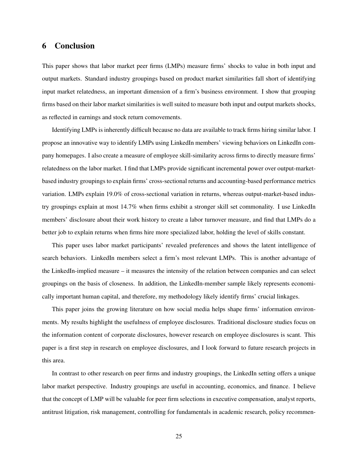### 6 Conclusion

This paper shows that labor market peer firms (LMPs) measure firms' shocks to value in both input and output markets. Standard industry groupings based on product market similarities fall short of identifying input market relatedness, an important dimension of a firm's business environment. I show that grouping firms based on their labor market similarities is well suited to measure both input and output markets shocks, as reflected in earnings and stock return comovements.

Identifying LMPs is inherently difficult because no data are available to track firms hiring similar labor. I propose an innovative way to identify LMPs using LinkedIn members' viewing behaviors on LinkedIn company homepages. I also create a measure of employee skill-similarity across firms to directly measure firms' relatedness on the labor market. I find that LMPs provide significant incremental power over output-marketbased industry groupings to explain firms' cross-sectional returns and accounting-based performance metrics variation. LMPs explain 19.0% of cross-sectional variation in returns, whereas output-market-based industry groupings explain at most 14.7% when firms exhibit a stronger skill set commonality. I use LinkedIn members' disclosure about their work history to create a labor turnover measure, and find that LMPs do a better job to explain returns when firms hire more specialized labor, holding the level of skills constant.

This paper uses labor market participants' revealed preferences and shows the latent intelligence of search behaviors. LinkedIn members select a firm's most relevant LMPs. This is another advantage of the LinkedIn-implied measure – it measures the intensity of the relation between companies and can select groupings on the basis of closeness. In addition, the LinkedIn-member sample likely represents economically important human capital, and therefore, my methodology likely identify firms' crucial linkages.

This paper joins the growing literature on how social media helps shape firms' information environments. My results highlight the usefulness of employee disclosures. Traditional disclosure studies focus on the information content of corporate disclosures, however research on employee disclosures is scant. This paper is a first step in research on employee disclosures, and I look forward to future research projects in this area.

In contrast to other research on peer firms and industry groupings, the LinkedIn setting offers a unique labor market perspective. Industry groupings are useful in accounting, economics, and finance. I believe that the concept of LMP will be valuable for peer firm selections in executive compensation, analyst reports, antitrust litigation, risk management, controlling for fundamentals in academic research, policy recommen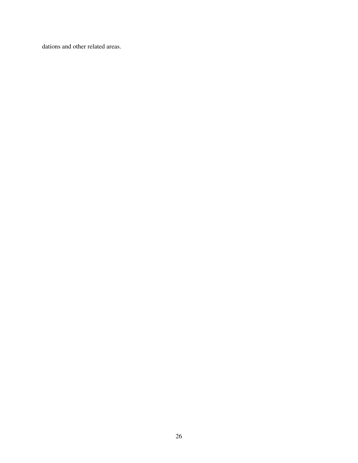dations and other related areas.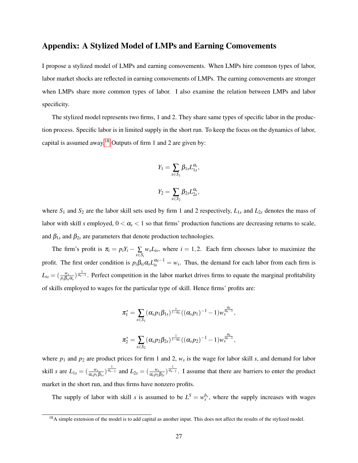### Appendix: A Stylized Model of LMPs and Earning Comovements

I propose a stylized model of LMPs and earning comovements. When LMPs hire common types of labor, labor market shocks are reflected in earning comovements of LMPs. The earning comovements are stronger when LMPs share more common types of labor. I also examine the relation between LMPs and labor specificity.

The stylized model represents two firms, 1 and 2. They share same types of specific labor in the production process. Specific labor is in limited supply in the short run. To keep the focus on the dynamics of labor, capital is assumed away.<sup>[18](#page-1-0)</sup> Outputs of firm 1 and 2 are given by:

$$
Y_1 = \sum_{s \in S_1} \beta_{1s} L_{1s}^{\alpha_s},
$$
  

$$
Y_2 = \sum_{s \in S_2} \beta_{2s} L_{2s}^{\alpha_s},
$$

where  $S_1$  and  $S_2$  are the labor skill sets used by firm 1 and 2 respectively,  $L_{1s}$  and  $L_{2s}$  denotes the mass of labor with skill *s* employed,  $0 < \alpha_s < 1$  so that firms' production functions are decreasing returns to scale, and  $\beta_{1s}$  and  $\beta_{2s}$  are parameters that denote production technologies.

The firm's profit is  $\pi_i = p_i Y_i - \sum_{s \in S_i}$  $w_s L_{is}$ , where  $i = 1, 2$ . Each firm chooses labor to maximize the profit. The first order condition is  $p_i\beta_{is}\alpha_s L_{is}^{\alpha_s-1} = w_s$ . Thus, the demand for each labor from each firm is  $L_{is} = (\frac{w_s}{p_i \beta_{is} \alpha_s})^{\frac{1}{\alpha_s-1}}$ . Perfect competition in the labor market drives firms to equate the marginal profitability of skills employed to wages for the particular type of skill. Hence firms' profits are:

$$
\pi_1^* = \sum_{s \in S_1} (\alpha_s p_1 \beta_{1s})^{\frac{1}{1-\alpha_s}} ((\alpha_s p_1)^{-1} - 1) w_s^{\frac{\alpha_s}{\alpha_s - 1}},
$$
  

$$
\pi_2^* = \sum_{s \in S_2} (\alpha_s p_2 \beta_{2s})^{\frac{1}{1-\alpha_s}} ((\alpha_s p_2)^{-1} - 1) w_s^{\frac{\alpha_s}{\alpha_s - 1}},
$$

where  $p_1$  and  $p_2$  are product prices for firm 1 and 2,  $w_s$  is the wage for labor skill *s*, and demand for labor skill *s* are  $L_{1s} = \left(\frac{w_s}{\alpha_s p_1 \beta_{1s}}\right)^{\frac{1}{\alpha_{s-1}}}$  and  $L_{2s} = \left(\frac{w_s}{\alpha_s p_2 \beta_{2s}}\right)^{\frac{1}{\alpha_{s-1}}}$ . I assume that there are barriers to enter the product market in the short run, and thus firms have nonzero profits.

The supply of labor with skill *s* is assumed to be  $L^S = w_s^{b_s}$ , where the supply increases with wages

 $18$ A simple extension of the model is to add capital as another input. This does not affect the results of the stylized model.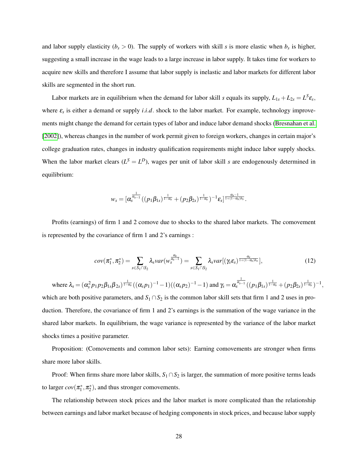and labor supply elasticity  $(b_s > 0)$ . The supply of workers with skill *s* is more elastic when  $b_s$  is higher, suggesting a small increase in the wage leads to a large increase in labor supply. It takes time for workers to acquire new skills and therefore I assume that labor supply is inelastic and labor markets for different labor skills are segmented in the short run.

Labor markets are in equilibrium when the demand for labor skill *s* equals its supply,  $L_{1s} + L_{2s} = L^S \varepsilon_s$ , where ε*<sup>s</sup>* is either a demand or supply *i*.*i*.*d*. shock to the labor market. For example, technology improvements might change the demand for certain types of labor and induce labor demand shocks [\(Bresnahan et al.](#page-32-0) [\[2002\]](#page-32-0)), whereas changes in the number of work permit given to foreign workers, changes in certain major's college graduation rates, changes in industry qualification requirements might induce labor supply shocks. When the labor market clears  $(L^S = L^D)$ , wages per unit of labor skill *s* are endogenously determined in equilibrium:

$$
w_s = [\alpha_s^{\frac{1}{\alpha_{s-1}}}((p_1\beta_{1s})^{\frac{1}{1-\alpha_s}} + (p_2\beta_{2s})^{\frac{1}{1-\alpha_s}})^{-1}\varepsilon_s]^{\frac{\alpha_s-1}{1+(1-\alpha_s)b_s}}.
$$

Profits (earnings) of firm 1 and 2 comove due to shocks to the shared labor markets. The comovement is represented by the covariance of firm 1 and 2's earnings :

$$
cov(\pi_1^*, \pi_2^*) = \sum_{s \in S_1 \cap S_2} \lambda_s var(w_s^{\frac{\alpha_s}{\alpha_s - 1}}) = \sum_{s \in S_1 \cap S_2} \lambda_s var[(\gamma_s \varepsilon_s)^{\frac{\alpha_s}{1 + (1 - \alpha_s)\beta_s}}],
$$
\n(12)

where 
$$
\lambda_s = (\alpha_s^2 p_1 p_2 \beta_{1s} \beta_{2s})^{\frac{1}{1-\alpha_s}} ((\alpha_s p_1)^{-1} - 1)((\alpha_s p_2)^{-1} - 1)
$$
 and  $\gamma_s = \alpha_s^{\frac{1}{\alpha_{s-1}}} ((p_1 \beta_{1s})^{\frac{1}{1-\alpha_s}} + (p_2 \beta_{2s})^{\frac{1}{1-\alpha_s}})^{-1}$ ,

which are both positive parameters, and  $S_1 \cap S_2$  is the common labor skill sets that firm 1 and 2 uses in production. Therefore, the covariance of firm 1 and 2's earnings is the summation of the wage variance in the shared labor markets. In equilibrium, the wage variance is represented by the variance of the labor market shocks times a positive parameter.

Proposition: (Comovements and common labor sets): Earning comovements are stronger when firms share more labor skills.

Proof: When firms share more labor skills,  $S_1 \cap S_2$  is larger, the summation of more positive terms leads to larger  $cov(\pi_1^*, \pi_2^*)$ , and thus stronger comovements.

The relationship between stock prices and the labor market is more complicated than the relationship between earnings and labor market because of hedging components in stock prices, and because labor supply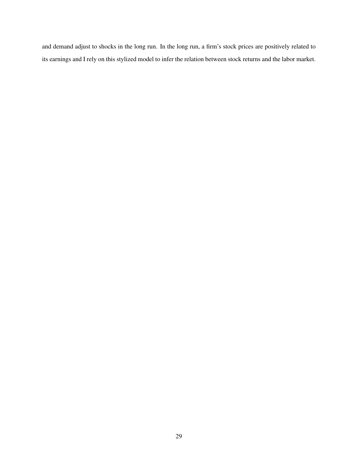and demand adjust to shocks in the long run. In the long run, a firm's stock prices are positively related to its earnings and I rely on this stylized model to infer the relation between stock returns and the labor market.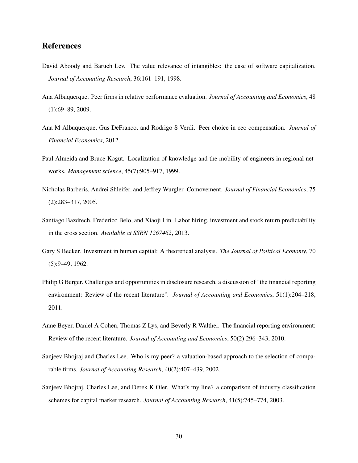### References

- <span id="page-31-2"></span>David Aboody and Baruch Lev. The value relevance of intangibles: the case of software capitalization. *Journal of Accounting Research*, 36:161–191, 1998.
- <span id="page-31-8"></span>Ana Albuquerque. Peer firms in relative performance evaluation. *Journal of Accounting and Economics*, 48 (1):69–89, 2009.
- <span id="page-31-10"></span>Ana M Albuquerque, Gus DeFranco, and Rodrigo S Verdi. Peer choice in ceo compensation. *Journal of Financial Economics*, 2012.
- <span id="page-31-3"></span>Paul Almeida and Bruce Kogut. Localization of knowledge and the mobility of engineers in regional networks. *Management science*, 45(7):905–917, 1999.
- <span id="page-31-9"></span>Nicholas Barberis, Andrei Shleifer, and Jeffrey Wurgler. Comovement. *Journal of Financial Economics*, 75 (2):283–317, 2005.
- <span id="page-31-1"></span>Santiago Bazdrech, Frederico Belo, and Xiaoji Lin. Labor hiring, investment and stock return predictability in the cross section. *Available at SSRN 1267462*, 2013.
- <span id="page-31-0"></span>Gary S Becker. Investment in human capital: A theoretical analysis. *The Journal of Political Economy*, 70 (5):9–49, 1962.
- <span id="page-31-5"></span>Philip G Berger. Challenges and opportunities in disclosure research, a discussion of "the financial reporting environment: Review of the recent literature". *Journal of Accounting and Economics*, 51(1):204–218, 2011.
- <span id="page-31-4"></span>Anne Beyer, Daniel A Cohen, Thomas Z Lys, and Beverly R Walther. The financial reporting environment: Review of the recent literature. *Journal of Accounting and Economics*, 50(2):296–343, 2010.
- <span id="page-31-7"></span>Sanjeev Bhojraj and Charles Lee. Who is my peer? a valuation-based approach to the selection of comparable firms. *Journal of Accounting Research*, 40(2):407–439, 2002.
- <span id="page-31-6"></span>Sanjeev Bhojraj, Charles Lee, and Derek K Oler. What's my line? a comparison of industry classification schemes for capital market research. *Journal of Accounting Research*, 41(5):745–774, 2003.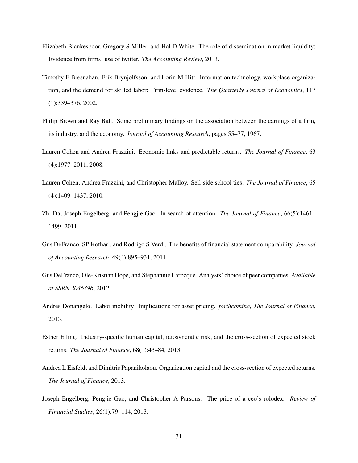- <span id="page-32-6"></span>Elizabeth Blankespoor, Gregory S Miller, and Hal D White. The role of dissemination in market liquidity: Evidence from firms' use of twitter. *The Accounting Review*, 2013.
- <span id="page-32-0"></span>Timothy F Bresnahan, Erik Brynjolfsson, and Lorin M Hitt. Information technology, workplace organization, and the demand for skilled labor: Firm-level evidence. *The Quarterly Journal of Economics*, 117 (1):339–376, 2002.
- <span id="page-32-8"></span>Philip Brown and Ray Ball. Some preliminary findings on the association between the earnings of a firm, its industry, and the economy. *Journal of Accounting Research*, pages 55–77, 1967.
- <span id="page-32-10"></span>Lauren Cohen and Andrea Frazzini. Economic links and predictable returns. *The Journal of Finance*, 63 (4):1977–2011, 2008.
- <span id="page-32-3"></span>Lauren Cohen, Andrea Frazzini, and Christopher Malloy. Sell-side school ties. *The Journal of Finance*, 65 (4):1409–1437, 2010.
- <span id="page-32-7"></span>Zhi Da, Joseph Engelberg, and Pengjie Gao. In search of attention. *The Journal of Finance*, 66(5):1461– 1499, 2011.
- <span id="page-32-11"></span>Gus DeFranco, SP Kothari, and Rodrigo S Verdi. The benefits of financial statement comparability. *Journal of Accounting Research*, 49(4):895–931, 2011.
- <span id="page-32-9"></span>Gus DeFranco, Ole-Kristian Hope, and Stephannie Larocque. Analysts' choice of peer companies. *Available at SSRN 2046396*, 2012.
- <span id="page-32-2"></span>Andres Donangelo. Labor mobility: Implications for asset pricing. *forthcoming, The Journal of Finance*, 2013.
- <span id="page-32-5"></span>Esther Eiling. Industry-specific human capital, idiosyncratic risk, and the cross-section of expected stock returns. *The Journal of Finance*, 68(1):43–84, 2013.
- <span id="page-32-1"></span>Andrea L Eisfeldt and Dimitris Papanikolaou. Organization capital and the cross-section of expected returns. *The Journal of Finance*, 2013.
- <span id="page-32-4"></span>Joseph Engelberg, Pengjie Gao, and Christopher A Parsons. The price of a ceo's rolodex. *Review of Financial Studies*, 26(1):79–114, 2013.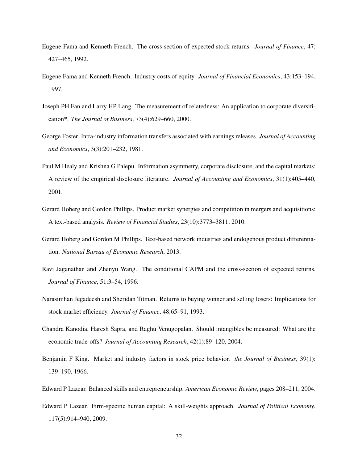- <span id="page-33-11"></span>Eugene Fama and Kenneth French. The cross-section of expected stock returns. *Journal of Finance*, 47: 427–465, 1992.
- <span id="page-33-8"></span>Eugene Fama and Kenneth French. Industry costs of equity. *Journal of Financial Economics*, 43:153–194, 1997.
- <span id="page-33-10"></span>Joseph PH Fan and Larry HP Lang. The measurement of relatedness: An application to corporate diversification\*. *The Journal of Business*, 73(4):629–660, 2000.
- <span id="page-33-9"></span>George Foster. Intra-industry information transfers associated with earnings releases. *Journal of Accounting and Economics*, 3(3):201–232, 1981.
- <span id="page-33-5"></span>Paul M Healy and Krishna G Palepu. Information asymmetry, corporate disclosure, and the capital markets: A review of the empirical disclosure literature. *Journal of Accounting and Economics*, 31(1):405–440, 2001.
- <span id="page-33-1"></span>Gerard Hoberg and Gordon Phillips. Product market synergies and competition in mergers and acquisitions: A text-based analysis. *Review of Financial Studies*, 23(10):3773–3811, 2010.
- <span id="page-33-2"></span>Gerard Hoberg and Gordon M Phillips. Text-based network industries and endogenous product differentiation. *National Bureau of Economic Research*, 2013.
- <span id="page-33-3"></span>Ravi Jaganathan and Zhenyu Wang. The conditional CAPM and the cross-section of expected returns. *Journal of Finance*, 51:3–54, 1996.
- <span id="page-33-12"></span>Narasimhan Jegadeesh and Sheridan Titman. Returns to buying winner and selling losers: Implications for stock market efficiency. *Journal of Finance*, 48:65–91, 1993.
- <span id="page-33-0"></span>Chandra Kanodia, Haresh Sapra, and Raghu Venugopalan. Should intangibles be measured: What are the economic trade-offs? *Journal of Accounting Research*, 42(1):89–120, 2004.
- <span id="page-33-7"></span>Benjamin F King. Market and industry factors in stock price behavior. *the Journal of Business*, 39(1): 139–190, 1966.
- <span id="page-33-6"></span><span id="page-33-4"></span>Edward P Lazear. Balanced skills and entrepreneurship. *American Economic Review*, pages 208–211, 2004.
- Edward P Lazear. Firm-specific human capital: A skill-weights approach. *Journal of Political Economy*, 117(5):914–940, 2009.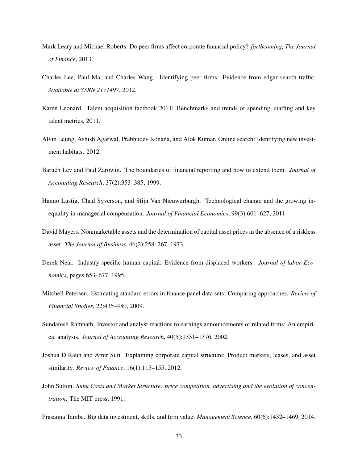- <span id="page-34-6"></span>Mark Leary and Michael Roberts. Do peer firms affect corporate financial policy? *forthcoming, The Journal of Finance*, 2013.
- <span id="page-34-4"></span>Charles Lee, Paul Ma, and Charles Wang. Identifying peer firms: Evidence from edgar search traffic. *Available at SSRN 2171497*, 2012.
- <span id="page-34-11"></span>Karen Leonard. Talent acquisition factbook 2011: Benchmarks and trends of spending, staffing and key talent metrics, 2011.
- <span id="page-34-10"></span>Alvin Leung, Ashish Agarwal, Prabhudev Konana, and Alok Kumar. Online search: Identifying new investment habitats. 2012.
- <span id="page-34-1"></span>Baruch Lev and Paul Zarowin. The boundaries of financial reporting and how to extend them. *Journal of Accounting Research*, 37(2):353–385, 1999.
- <span id="page-34-0"></span>Hanno Lustig, Chad Syverson, and Stijn Van Nieuwerburgh. Technological change and the growing inequality in managerial compensation. *Journal of Financial Economics*, 99(3):601–627, 2011.
- <span id="page-34-5"></span>David Mayers. Nonmarketable assets and the determination of capital asset prices in the absence of a riskless asset. *The Journal of Business*, 46(2):258–267, 1973.
- <span id="page-34-2"></span>Derek Neal. Industry-specific human capital: Evidence from displaced workers. *Journal of labor Economics*, pages 653–677, 1995.
- <span id="page-34-12"></span>Mitchell Petersen. Estimating standard errors in finance panel data sets: Comparing approaches. *Review of Financial Studies*, 22:435–480, 2009.
- <span id="page-34-9"></span>Sundaresh Ramnath. Investor and analyst reactions to earnings announcements of related firms: An empirical analysis. *Journal of Accounting Research*, 40(5):1351–1376, 2002.
- <span id="page-34-8"></span>Joshua D Rauh and Amir Sufi. Explaining corporate capital structure: Product markets, leases, and asset similarity. *Review of Finance*, 16(1):115–155, 2012.
- <span id="page-34-7"></span>John Sutton. *Sunk Costs and Market Structure: price competition, advertising and the evolution of concentration*. The MIT press, 1991.
- <span id="page-34-3"></span>Prasanna Tambe. Big data investment, skills, and firm value. *Management Science*, 60(6):1452–1469, 2014.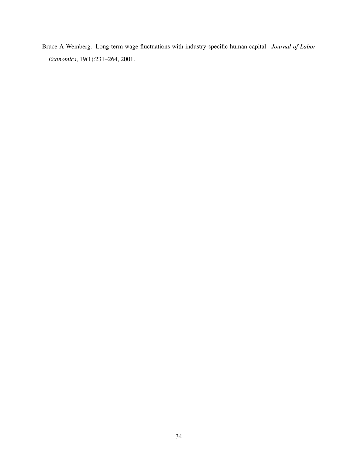<span id="page-35-0"></span>Bruce A Weinberg. Long-term wage fluctuations with industry-specific human capital. *Journal of Labor Economics*, 19(1):231–264, 2001.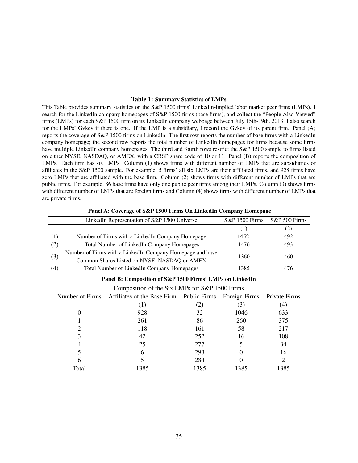### Table 1: Summary Statistics of LMPs

This Table provides summary statistics on the S&P 1500 firms' LinkedIn-implied labor market peer firms (LMPs). I search for the LinkedIn company homepages of S&P 1500 firms (base firms), and collect the "People Also Viewed" firms (LMPs) for each S&P 1500 firm on its LinkedIn company webpage between July 15th-19th, 2013. I also search for the LMPs' Gvkey if there is one. If the LMP is a subsidiary, I record the Gvkey of its parent firm. Panel (A) reports the coverage of S&P 1500 firms on LinkedIn. The first row reports the number of base firms with a LinkedIn company homepage; the second row reports the total number of LinkedIn homepages for firms because some firms have multiple LinkedIn company homepages. The third and fourth rows restrict the S&P 1500 sample to firms listed on either NYSE, NASDAQ, or AMEX, with a CRSP share code of 10 or 11. Panel (B) reports the composition of LMPs. Each firm has six LMPs. Column (1) shows firms with different number of LMPs that are subsidiaries or affiliates in the S&P 1500 sample. For example, 5 firms' all six LMPs are their affiliated firms, and 928 firms have zero LMPs that are affiliated with the base firm. Column (2) shows firms with different number of LMPs that are public firms. For example, 86 base firms have only one public peer firms among their LMPs. Column (3) shows firms with different number of LMPs that are foreign firms and Column (4) shows firms with different number of LMPs that are private firms.

|     |                 | Panel A: Coverage of S&P 1500 FIFMS On LinkedIn Company Homepage |      |                           |                |
|-----|-----------------|------------------------------------------------------------------|------|---------------------------|----------------|
|     |                 | LinkedIn Representation of S&P 1500 Universe                     |      | <b>S&amp;P 1500 Firms</b> | S&P 500 Firms  |
|     |                 |                                                                  |      | (1)                       | (2)            |
| (1) |                 | Number of Firms with a LinkedIn Company Homepage                 |      | 1452                      | 492            |
| (2) |                 | Total Number of LinkedIn Company Homepages                       |      | 1476                      | 493            |
|     |                 | Number of Firms with a LinkedIn Company Homepage and have        |      |                           |                |
| (3) |                 | Common Shares Listed on NYSE, NASDAQ or AMEX                     |      | 1360                      | 460            |
| (4) |                 | Total Number of LinkedIn Company Homepages                       |      | 1385                      | 476            |
|     |                 | Panel B: Composition of S&P 1500 Firms' LMPs on LinkedIn         |      |                           |                |
|     |                 | Composition of the Six LMPs for S&P 1500 Firms                   |      |                           |                |
|     | Number of Firms | Affiliates of the Base Firm Public Firms                         |      | Foreign Firms             | Private Firms  |
|     |                 | (1)                                                              | (2)  | (3)                       | (4)            |
|     | 0               | 928                                                              | 32   | 1046                      | 633            |
|     |                 | 261                                                              | 86   | 260                       | 375            |
|     | 2               | 118                                                              | 161  | 58                        | 217            |
|     | 3               | 42                                                               | 252  | 16                        | 108            |
|     | 4               | 25                                                               | 277  |                           | 34             |
|     |                 | 6                                                                | 293  |                           | 16             |
|     | 6               | 5                                                                | 284  |                           | $\overline{c}$ |
|     | Total           | 1385                                                             | 1385 | 1385                      | 1385           |

 $P_{\text{P}}$  and  $\alpha$  of C R.D 1500 Firms On LinkedIn Company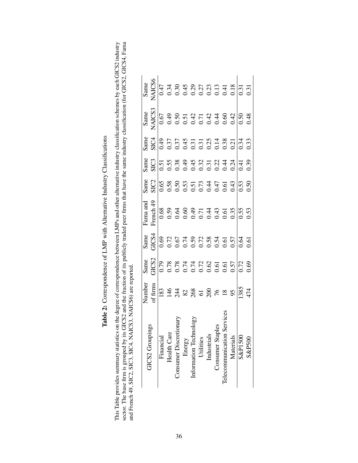Table 2: Correspondence of LMP with Alternative Industry Classifications Table 2: Correspondence of LMP with Alternative Industry Classifications This Table provides summary statistics on the degree of correspondence between LMPs and other alternative industry classification schemes by each GICS2 industry<br>sector. The base firm is grouped by its GICS2 and the fractio This Table provides summary statistics on the degree of correspondence between LMPs and other alternative industry classification schemes by each GICS2 industry sector. The base firm is grouped by its GICS2 and the fraction of its publicly traded peer firms that have the same industry classification (for GICS2, GICS4, Fama and French 49, SIC2, SIC3, SIC4, NAICS3, NAICS6) are reported.

|                                               | Vumber                                                                                                                                        | Same | Same  | ama and                                                                                                                                                                                                                                                                                                       |                                                                                                                                                                                                                                                                                                                                                                                                                                                                                                         |                                                                                                                                                                                                                                                                                                                                                                                                                                                               | Same   | Same |
|-----------------------------------------------|-----------------------------------------------------------------------------------------------------------------------------------------------|------|-------|---------------------------------------------------------------------------------------------------------------------------------------------------------------------------------------------------------------------------------------------------------------------------------------------------------------|---------------------------------------------------------------------------------------------------------------------------------------------------------------------------------------------------------------------------------------------------------------------------------------------------------------------------------------------------------------------------------------------------------------------------------------------------------------------------------------------------------|---------------------------------------------------------------------------------------------------------------------------------------------------------------------------------------------------------------------------------------------------------------------------------------------------------------------------------------------------------------------------------------------------------------------------------------------------------------|--------|------|
| GICS2 Groupings                               | $\epsilon$ firms                                                                                                                              |      | JICS4 | rench <sub>45</sub>                                                                                                                                                                                                                                                                                           | $\begin{array}{r} \begin{array}{r} \text{MHS} \\ \text{MHS} \end{array} \\ \begin{array}{r} \begin{array}{r} \text{MHS} \\ \text{MHS} \end{array} \\ \begin{array}{r} \text{MHS} \\ \text{MHS} \end{array} \\ \begin{array}{r} \text{MHS} \\ \text{MHS} \end{array} \\ \begin{array}{r} \text{MHS} \\ \text{MHS} \end{array} \\ \begin{array}{r} \text{MHS} \\ \text{MHS} \end{array} \\ \begin{array}{r} \text{MHS} \\ \text{MHS} \end{array} \\ \begin{array}{r} \text{MHS} \\ \text{MHS} \end{array$ | $\begin{array}{l} \text{RHS} \\ \text{SUS} \\ \text{SUS} \\ \text{OOS} \\ \text{OOS} \\ \text{OOS} \\ \text{OOS} \\ \text{OOS} \\ \text{OOS} \\ \text{OOS} \\ \text{OOS} \\ \text{OOS} \\ \text{OOS} \\ \text{OOS} \\ \text{OOS} \\ \text{OOS} \\ \text{OOS} \\ \text{OOS} \\ \text{OOS} \\ \text{OOS} \\ \text{OOS} \\ \text{OOS} \\ \text{OOS} \\ \text{OOS} \\ \text{OOS} \\ \text{OOS} \\ \text{OOS} \\ \text{OOS} \\ \text{OOS} \\ \text{OOS} \\ \text{$ | VAICS3 |      |
| Financial                                     |                                                                                                                                               |      |       |                                                                                                                                                                                                                                                                                                               |                                                                                                                                                                                                                                                                                                                                                                                                                                                                                                         |                                                                                                                                                                                                                                                                                                                                                                                                                                                               |        |      |
| <b>Health Care</b>                            |                                                                                                                                               |      |       |                                                                                                                                                                                                                                                                                                               |                                                                                                                                                                                                                                                                                                                                                                                                                                                                                                         |                                                                                                                                                                                                                                                                                                                                                                                                                                                               |        |      |
| donar <sup>.</sup><br><b>Consumer Discret</b> |                                                                                                                                               |      |       |                                                                                                                                                                                                                                                                                                               |                                                                                                                                                                                                                                                                                                                                                                                                                                                                                                         |                                                                                                                                                                                                                                                                                                                                                                                                                                                               |        |      |
| Energy                                        |                                                                                                                                               |      |       |                                                                                                                                                                                                                                                                                                               |                                                                                                                                                                                                                                                                                                                                                                                                                                                                                                         |                                                                                                                                                                                                                                                                                                                                                                                                                                                               |        |      |
| Information Techr                             |                                                                                                                                               |      |       |                                                                                                                                                                                                                                                                                                               |                                                                                                                                                                                                                                                                                                                                                                                                                                                                                                         |                                                                                                                                                                                                                                                                                                                                                                                                                                                               |        |      |
| Utilities                                     |                                                                                                                                               |      |       |                                                                                                                                                                                                                                                                                                               |                                                                                                                                                                                                                                                                                                                                                                                                                                                                                                         |                                                                                                                                                                                                                                                                                                                                                                                                                                                               |        |      |
| Industrials                                   |                                                                                                                                               |      |       |                                                                                                                                                                                                                                                                                                               |                                                                                                                                                                                                                                                                                                                                                                                                                                                                                                         |                                                                                                                                                                                                                                                                                                                                                                                                                                                               |        |      |
| les<br>Consumer Stap                          |                                                                                                                                               |      |       |                                                                                                                                                                                                                                                                                                               |                                                                                                                                                                                                                                                                                                                                                                                                                                                                                                         |                                                                                                                                                                                                                                                                                                                                                                                                                                                               |        |      |
| Telecommunication                             |                                                                                                                                               |      |       |                                                                                                                                                                                                                                                                                                               |                                                                                                                                                                                                                                                                                                                                                                                                                                                                                                         |                                                                                                                                                                                                                                                                                                                                                                                                                                                               |        |      |
| Materials                                     | $\frac{183}{134}$ $\frac{44}{13}$ $\frac{183}{136}$ $\frac{163}{136}$ $\frac{163}{136}$ $\frac{163}{136}$ $\frac{163}{136}$ $\frac{163}{136}$ |      |       | $\begin{array}{l} 6.68 \\ 0.59 \\ 0.64 \\ 0.66 \\ 0.67 \\ 0.71 \\ 4.33 \\ 0.59 \\ 0.53 \\ 0.53 \\ 0.53 \\ 0.53 \\ 0.53 \\ 0.53 \\ 0.53 \\ 0.53 \\ 0.53 \\ 0.53 \\ 0.53 \\ 0.53 \\ 0.53 \\ 0.53 \\ 0.53 \\ 0.53 \\ 0.53 \\ 0.53 \\ 0.53 \\ 0.53 \\ 0.53 \\ 0.53 \\ 0.53 \\ 0.53 \\ 0.53 \\ 0.53 \\ 0.53 \\ 0.$ |                                                                                                                                                                                                                                                                                                                                                                                                                                                                                                         |                                                                                                                                                                                                                                                                                                                                                                                                                                                               |        |      |
| S&P1500                                       |                                                                                                                                               |      |       |                                                                                                                                                                                                                                                                                                               |                                                                                                                                                                                                                                                                                                                                                                                                                                                                                                         |                                                                                                                                                                                                                                                                                                                                                                                                                                                               |        |      |
| S&P500                                        |                                                                                                                                               |      |       |                                                                                                                                                                                                                                                                                                               |                                                                                                                                                                                                                                                                                                                                                                                                                                                                                                         |                                                                                                                                                                                                                                                                                                                                                                                                                                                               |        |      |
|                                               |                                                                                                                                               |      |       |                                                                                                                                                                                                                                                                                                               |                                                                                                                                                                                                                                                                                                                                                                                                                                                                                                         |                                                                                                                                                                                                                                                                                                                                                                                                                                                               |        |      |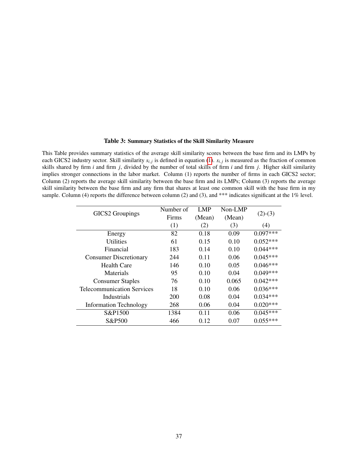### Table 3: Summary Statistics of the Skill Similarity Measure

This Table provides summary statistics of the average skill similarity scores between the base firm and its LMPs by each GICS2 industry sector. Skill similarity  $s_{i,j}$  is defined in equation [\(1\)](#page-15-0).  $s_{i,j}$  is measured as the fraction of common skills shared by firm *i* and firm *j*, divided by the number of total skills of firm *i* and firm *j*. Higher skill similarity implies stronger connections in the labor market. Column (1) reports the number of firms in each GICS2 sector; Column (2) reports the average skill similarity between the base firm and its LMPs; Column (3) reports the average skill similarity between the base firm and any firm that shares at least one common skill with the base firm in my sample. Column (4) reports the difference between column (2) and (3), and \*\*\* indicates significant at the 1% level.

|                                   | Number of | LMP    | Non-LMP |            |
|-----------------------------------|-----------|--------|---------|------------|
| GICS2 Groupings                   | Firms     | (Mean) | (Mean)  | $(2)-(3)$  |
|                                   | (1)       | (2)    | (3)     | (4)        |
| Energy                            | 82        | 0.18   | 0.09    | $0.097***$ |
| <b>Utilities</b>                  | 61        | 0.15   | 0.10    | $0.052***$ |
| Financial                         | 183       | 0.14   | 0.10    | $0.044***$ |
| <b>Consumer Discretionary</b>     | 244       | 0.11   | 0.06    | $0.045***$ |
| <b>Health Care</b>                | 146       | 0.10   | 0.05    | $0.046***$ |
| Materials                         | 95        | 0.10   | 0.04    | $0.049***$ |
| <b>Consumer Staples</b>           | 76        | 0.10   | 0.065   | $0.042***$ |
| <b>Telecommunication Services</b> | 18        | 0.10   | 0.06    | $0.036***$ |
| Industrials                       | 200       | 0.08   | 0.04    | $0.034***$ |
| <b>Information Technology</b>     | 268       | 0.06   | 0.04    | $0.020***$ |
| S&P1500                           | 1384      | 0.11   | 0.06    | $0.045***$ |
| S&P500                            | 466       | 0.12   | 0.07    | $0.055***$ |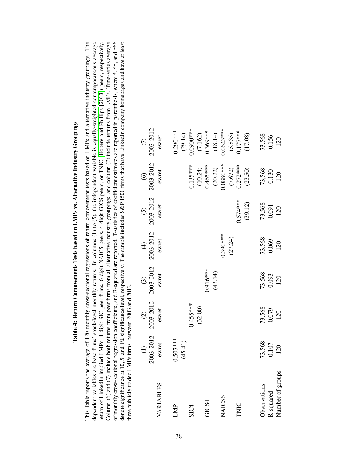|                  |            | $\widehat{c}$   | $\widehat{c}$   | $\widehat{\mathcal{F}}$ | $\odot$         | $\odot$               | $\odot$                |
|------------------|------------|-----------------|-----------------|-------------------------|-----------------|-----------------------|------------------------|
|                  | 2003-2012  | 2003-2012       | 2003-2012       | 2003-2012               | 2003-2012       | 2003-2012             | 2003-2012              |
| VARIABLES        | ewret      | ewret           | ewret           | ewret                   | ewret           | ewret                 | ewret                  |
| LMP              | $0.507***$ |                 |                 |                         |                 |                       | $0.290***$             |
|                  | (45.41)    |                 |                 |                         |                 |                       |                        |
| SIC <sub>4</sub> |            | $0.455***$      |                 |                         |                 | $0.135***$            | $(29.14)$<br>0.0900*** |
|                  |            | (32.00)         |                 |                         |                 | (10.24)               |                        |
| GICS4            |            |                 | $0.916***$      |                         |                 | $0.465***$            | $(7.162)$<br>0.369***  |
|                  |            |                 | (43.14)         |                         |                 | (20.22)               | (18.14)                |
| NAICS6           |            |                 |                 | $0.390***$              |                 | $0.0880***$           | $0.0623***$            |
|                  |            |                 |                 | (27.24)                 |                 |                       |                        |
| TNIC             |            |                 |                 |                         | $0.574***$      | $(7.672)$<br>0.272*** | $(5.835)$<br>0.177***  |
|                  |            |                 |                 |                         | (39.12)         | (23.50)               | (17.08)                |
| Observations     | 73,568     |                 |                 |                         |                 |                       |                        |
| R-squared        | 0.107      | 73,568<br>0.079 | 73,568<br>0.093 | 73,568<br>0.069         | 73,568<br>0.091 | 73,568<br>0.130       | 73,568<br>0.156        |
| Number of groups | 120        | 120             | 120             | 120                     | 120             | 120                   | 120                    |

# Table 4: Return Comovements Tests based on LMPs vs. Alternative Industry Groupings Table 4: Return Comovements Tests based on LMPs vs. Alternative Industry Groupings

<span id="page-39-0"></span>Column (6) and (7) include both returns from peer firms from all alternative industry groupings, and column (7) include returns from LMPs. Time-series average of monthly cross-sectional regression coefficients, and R-squa This Table reports the average of 120 monthly cross-sectional regressions of return comovement tests based on LMPs and alternative industry groupings. The dependent variables are base firms' stock-level monthly returns. In columns (1) to (5), the independent variable is equally-weighted contemporaneous average return of LinkedIn-implied LMPs, 4-digit SIC peer firms, 6-digit NAICS peers, 4-digit GICS peers, or TNIC (Hoberg and Phillips [2013]) peers, respectively. denote significance at 10, 5, and 1% significance level, respectively. The sample includes S&P 1500 firms that have LinkedIn company homepages and have at least This Table reports the average of 120 monthly cross-sectional regressions of return comovement tests based on LMPs and alternative industry groupings. The dependent variables are base firms' stock-level monthly returns. In columns (1) to (5), the independent variable is equally-weighted contemporaneous average return of LinkedIn-implied LMPs, 4-digit SIC peer firms, 6-digit NAICS peers, 4-digit GICS peers, or TNIC [\(Hoberg](#page-33-2) and Phillips [\[2013\]](#page-33-2)) peers, respectively. Column (6) and (7) include both returns from peer firms from all alternative industry groupings, and column (7) include returns from LMPs. Time-series average of monthly cross-sectional regression coefficients, and R-squared are reported. T-statistics of coefficient estimates are reported in parenthesis, where \*, \*\*, and \*\*\* denote significance at 10, 5, and 1% significance level, respectively. The sample includes S&P 1500 firms that have LinkedIn company homepages and have at least three publicly traded LMPs firms, between 2003 and 2012. three publicly traded LMPs firms, between 2003 and 2012.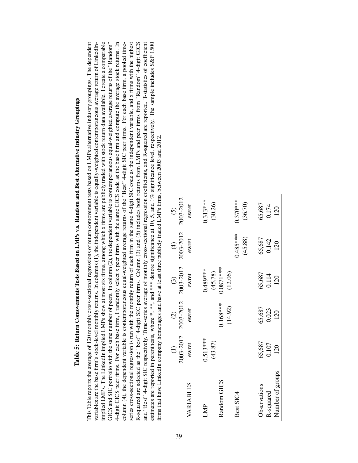| i                                                                                    |
|--------------------------------------------------------------------------------------|
| J                                                                                    |
|                                                                                      |
|                                                                                      |
|                                                                                      |
| Ï<br>٫                                                                               |
|                                                                                      |
| i                                                                                    |
|                                                                                      |
|                                                                                      |
|                                                                                      |
| $\overline{\phantom{a}}$                                                             |
|                                                                                      |
|                                                                                      |
|                                                                                      |
|                                                                                      |
|                                                                                      |
|                                                                                      |
|                                                                                      |
|                                                                                      |
| $\sim$ mass $\sim$                                                                   |
| í,<br>֧֧֖֧ׅ֧֧ׅ֧֧ׅ֧ׅ֧ׅ֧֧֧ׅ֧֧֧֧֧֧֚֚֚֚֚֚֚֚֚֚֚֚֚֚֚֚֚֚֚֚֚֚֚֚֚֚֚֚֡֬֝֓֜֝֓֜֜֜֝֬֝֬֜֝֬֝֬֝֬֝֬֝֬ |
|                                                                                      |
|                                                                                      |
|                                                                                      |
|                                                                                      |
|                                                                                      |
| Č                                                                                    |
|                                                                                      |
| Ì                                                                                    |
| $\ddot{\phantom{a}}$                                                                 |
|                                                                                      |
| f<br>F                                                                               |
|                                                                                      |
|                                                                                      |
|                                                                                      |
|                                                                                      |
|                                                                                      |
|                                                                                      |
|                                                                                      |
| ſ<br>١                                                                               |
|                                                                                      |
|                                                                                      |
| l<br>Ì                                                                               |
|                                                                                      |
|                                                                                      |
|                                                                                      |
|                                                                                      |
|                                                                                      |
|                                                                                      |
|                                                                                      |
| l                                                                                    |
|                                                                                      |
|                                                                                      |
|                                                                                      |
|                                                                                      |
| Í<br>l                                                                               |
|                                                                                      |
| l<br>.                                                                               |
| j                                                                                    |
|                                                                                      |
| ГаN<br>i                                                                             |
|                                                                                      |

<span id="page-40-0"></span>implied LMPs. The LinkedIn implied LMPs show at most six firms, among which x firms are publicly traded with stock return data available. I create a comparable 4-digit GICS peer firms. For each base firm, I randomly select x peer firms with the same GICS code as the base firm and compute the average stock returns. In R-squared are selected as the "best" 4-digit SIC peer firms. Column (3) and (5) includes both returns from LMPs and peer firms from "Random" 4-digit GICS This Table reports the average of 120 monthly cross-sectional regressions of return comovement tests based on LMPs alternative industry groupings. The dependent variables are the base firm's stock-level monthly returns. In columns (1), the independent variable is equally-weighted contemporaneous average return of LinkedIn-GICS and SIC portfolio with the same number of peers. In column (2), the dependent variable is contemporaneous equal-weighted average returns of the "Random" column (4), the dependent variable is contemporaneous equal-weighted average returns of the "Best" 4-digit SIC peer firms. For each base firm, a pooled timeseries cross-sectional regression is run with the monthly return of each firm in the same 4-digit SIC code as the independent variable, and x firms with the highest and "Best" 4-digit SIC respectively. Time-series average of monthly cross-sectional regression coefficients, and R-squared are reported. T-statistics of coefficient estimates are reported in parenthesis, where \*, \*\*, and \*\*\* denote significance at 10, 5, and 1% significance level, respectively. The sample includes S&P 1500 This Table reports the average of 120 monthly cross-sectional regressions of return comovement tests based on LMPs alternative industry groupings. The dependent variables are the base firm's stock-level monthly returns. In columns (1), the independent variable is equally-weighted contemporaneous average return of LinkedInimplied LMPs. The LinkedIn implied LMPs show at most six firms, among which x firms are publicly traded with stock return data available. I create a comparable GICS and SIC portfolio with the same number of peers. In column (2), the dependent variable is contemporaneous equal-weighted average returns of the "Random" 4-digit GICS peer firms. For each base firm, I randomly select x peer firms with the same GICS code as the base firm and compute the average stock returns. In column (4), the dependent variable is contemporaneous equal-weighted average returns of the "Best" 4-digit SIC peer firms. For each base firm, a pooled timeseries cross-sectional regression is run with the monthly return of each firm in the same 4-digit SIC code as the independent variable, and x firms with the highest R-squared are selected as the "best" 4-digit SIC peer firms. Column (3) and (5) includes both returns from LMPs and peer firms from "Random" 4-digit GICS and "Best" 4-digit SIC respectively. Time-series average of monthly cross-sectional regression coefficients, and R-squared are reported. T-statistics of coefficient estimates are reported in parenthesis, where \*, \*\*, and \*\*\* denote significance at 10, 5, and 1% significance level, respectively. The sample includes S&P 1500 firms that have LinkedIn company homepages and have at least three publicly traded LMPs firms, between 2003 and 2012. firms that have LinkedIn company homepages and have at least three publicly traded LMPs firms, between 2003 and 2012.

|                  | $\widehat{\Xi}$ | $\widehat{c}$ | $\odot$     | $\widehat{\mathcal{F}}$ | $\widetilde{S}$ |
|------------------|-----------------|---------------|-------------|-------------------------|-----------------|
|                  | 2003-2012       | 2003-2012     | 2003-2012   | 2003-2012               | 2003-2012       |
| VARIABLES        | ewret           | ewret         | ewret       | ewret                   | ewret           |
| LMP              | $0.513***$      |               | 0.489****   |                         | $0.313***$      |
|                  | (43.87)         |               | (45.78)     |                         | (30.26)         |
| Random GICS      |                 | $0.168***$    | $0.0871***$ |                         |                 |
|                  |                 | (14.92)       | (12.06)     |                         |                 |
| Best SIC4        |                 |               |             | $0.485***$              | $0.370***$      |
|                  |                 |               |             | (45.88)                 | (36.70)         |
| Observations     | 65,687          | 65,687        | 65,687      | 65,687                  | 65,687          |
| R-squared        | 0.107           | 0.023         | 0.114       | 0.142                   | 0.174           |
| Number of groups | 120             | 120           | 120         | 120                     | 120             |

 $\overline{C}$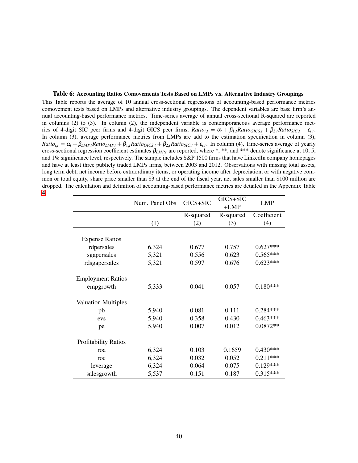### <span id="page-41-0"></span>Table 6: Accounting Ratios Comovements Tests Based on LMPs v.s. Alternative Industry Groupings This Table reports the average of 10 annual cross-sectional regressions of accounting-based performance metrics comovement tests based on LMPs and alternative industry groupings. The dependent variables are base firm's annual accounting-based performance metrics. Time-series average of annual cross-sectional R-squared are reported in columns (2) to (3). In column (2), the independent variable is contemporaneous average performance metrics of 4-digit SIC peer firms and 4-digit GICS peer firms,  $Ratio_{i,t} = \alpha_t + \beta_{1,t}Ratio_{GICS,t} + \beta_{2,t} Ratio_{SIC,t} + \varepsilon_{i,t}$ . In column (3), average performance metrics from LMPs are add to the estimation specification in column (3),  $Ratio_{i,t} = \alpha_t + \beta_{LMP,t}Ratio_{LMP,t} + \beta_{1,t} Ratio_{GICS,t} + \beta_{2,t} Ratio_{SIC,t} + \varepsilon_{i,t}$ . In column (4), Time-series average of yearly cross-sectional regression coefficient estimates  $\beta_{LMP,t}$  are reported, where \*, \*\*, and \*\*\* denote significance at 10, 5, and 1% significance level, respectively. The sample includes S&P 1500 firms that have LinkedIn company homepages and have at least three publicly traded LMPs firms, between 2003 and 2012. Observations with missing total assets, long term debt, net income before extraordinary items, or operating income after depreciation, or with negative common or total equity, share price smaller than \$3 at the end of the fiscal year, net sales smaller than \$100 million are dropped. The calculation and definition of accounting-based performance metrics are detailed in the Appendix Table [4.](#page-48-0)

|                                       | Num. Panel Obs | GICS+SIC  | GICS+SIC<br>$+LMP$ | <b>LMP</b>  |
|---------------------------------------|----------------|-----------|--------------------|-------------|
|                                       |                | R-squared | R-squared          | Coefficient |
|                                       | (1)            | (2)       | (3)                | (4)         |
| <b>Expense Ratios</b>                 |                |           |                    |             |
| rdpersales                            | 6,324          | 0.677     | 0.757              | $0.627***$  |
| sgapersales                           | 5,321          | 0.556     | 0.623              | $0.565***$  |
| rdsgapersales                         | 5,321          | 0.597     | 0.676              | $0.623***$  |
| <b>Employment Ratios</b><br>empgrowth | 5,333          | 0.041     | 0.057              | $0.180***$  |
| <b>Valuation Multiples</b>            |                |           |                    |             |
| pb                                    | 5,940          | 0.081     | 0.111              | $0.284***$  |
| evs                                   | 5,940          | 0.358     | 0.430              | $0.463***$  |
| pe                                    | 5,940          | 0.007     | 0.012              | $0.0872**$  |
| <b>Profitability Ratios</b>           |                |           |                    |             |
| roa                                   | 6,324          | 0.103     | 0.1659             | $0.430***$  |
| roe                                   | 6,324          | 0.032     | 0.052              | $0.211***$  |
| leverage                              | 6,324          | 0.064     | 0.075              | $0.129***$  |
| salesgrowth                           | 5,537          | 0.151     | 0.187              | $0.315***$  |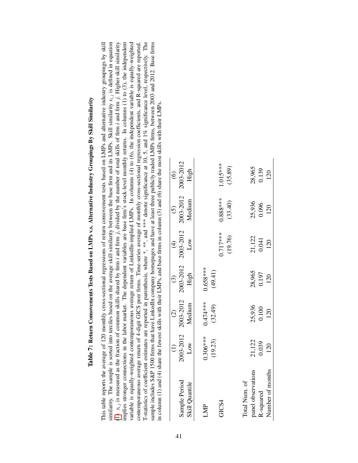<span id="page-42-0"></span>

| implies stronger connections in the labor market. |                       |                      |                       |                         |                       | The dependent variables are base firm's stock-level monthly returns. In columns $(1)$ to $(3)$ , the independent<br>variable is equally-weighted contemporaneous average return of LinkedIn-implied LMPs. In columns (4) to (6), the independent variable is equally-weighted<br>T-statistics of coefficient estimates are reported in parenthesis, where *, **, and *** denote significance at 10, 5, and 1% significance level, respectively. The<br>sample includes S&P 1500 firms that have LinkedIn company homepages and have at least three publicly traded LMPs firms, between 2003 and 2012. Base firms<br>similarity. The sample is sorted into terciles based on the average skill similarity between the base firm and its LMPs. Skill similarity $s_{i,j}$ is defined in equation<br>(1). $s_{i,j}$ is measured as the fraction of common skills shared by firm <i>i</i> and firm <i>j</i> , divided by the number of total skills of firm <i>i</i> and firm <i>j</i> . Higher skill similarity<br>This table reports the average of 120 monthly cross-sectional regressions of return comovement tests based on LMPs and alternative industry groupings by skill<br>contemporaneous average return of 4-digit GICS peer firms. Time-series average of monthly cross-sectional regression coefficients, and R-squared are reported.<br>in column (1) and (4) share the fewest skills with their LMPs, and base firms in column (3) and (6) share the most skills with their LMPs. |
|---------------------------------------------------|-----------------------|----------------------|-----------------------|-------------------------|-----------------------|------------------------------------------------------------------------------------------------------------------------------------------------------------------------------------------------------------------------------------------------------------------------------------------------------------------------------------------------------------------------------------------------------------------------------------------------------------------------------------------------------------------------------------------------------------------------------------------------------------------------------------------------------------------------------------------------------------------------------------------------------------------------------------------------------------------------------------------------------------------------------------------------------------------------------------------------------------------------------------------------------------------------------------------------------------------------------------------------------------------------------------------------------------------------------------------------------------------------------------------------------------------------------------------------------------------------------------------------------------------------------------------------------------------------------------------------------------------------------------------------|
|                                                   | $\widehat{\Xi}$       | $\odot$              | $\odot$               | $\widehat{\mathcal{F}}$ | $\tilde{S}$           | $\odot$                                                                                                                                                                                                                                                                                                                                                                                                                                                                                                                                                                                                                                                                                                                                                                                                                                                                                                                                                                                                                                                                                                                                                                                                                                                                                                                                                                                                                                                                                        |
| Sample Period                                     | 2003-2012             | 2003-2012            | 2003-2012             | 2003-2012               | 2003-2012             | 2003-2012                                                                                                                                                                                                                                                                                                                                                                                                                                                                                                                                                                                                                                                                                                                                                                                                                                                                                                                                                                                                                                                                                                                                                                                                                                                                                                                                                                                                                                                                                      |
| Skill Quantile                                    | Low                   | Medium               | High                  | Low                     | Medium                | High                                                                                                                                                                                                                                                                                                                                                                                                                                                                                                                                                                                                                                                                                                                                                                                                                                                                                                                                                                                                                                                                                                                                                                                                                                                                                                                                                                                                                                                                                           |
| LMP                                               | $0.306***$<br>(19.23) | 0.474****<br>(32.49) | $0.658***$<br>(49.41) |                         |                       |                                                                                                                                                                                                                                                                                                                                                                                                                                                                                                                                                                                                                                                                                                                                                                                                                                                                                                                                                                                                                                                                                                                                                                                                                                                                                                                                                                                                                                                                                                |
| GICS4                                             |                       |                      |                       | $0.717***$<br>(19.76)   | $0.888***$<br>(33.40) | $1.015***$<br>(35.89)                                                                                                                                                                                                                                                                                                                                                                                                                                                                                                                                                                                                                                                                                                                                                                                                                                                                                                                                                                                                                                                                                                                                                                                                                                                                                                                                                                                                                                                                          |
| Total Num. of                                     |                       |                      |                       |                         |                       |                                                                                                                                                                                                                                                                                                                                                                                                                                                                                                                                                                                                                                                                                                                                                                                                                                                                                                                                                                                                                                                                                                                                                                                                                                                                                                                                                                                                                                                                                                |

| Į      |
|--------|
|        |
| י      |
|        |
|        |
| l<br>j |
|        |
| I      |
| j      |
| l      |
| ļ      |

Total Num. of

panel observations

Number of months

R-squared

panel observations 21,122 25,936 28,965 21,122 25,936 28,965 R-squared 0.039 0.039 0.000 0.000 0.096 0.096 0.097 0.197 0.197 0.000 0.009 0.096 Number of months 120 120 120 120 120 120 120

 $\frac{28,965}{0.197}$ 

25,936<br>0.100<br>120

21,122<br>0.039 120

28,965 0.139 120

25,936<br>0.096 120

21,122<br>0.041 120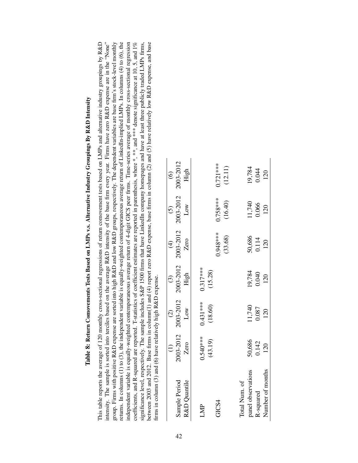<span id="page-43-0"></span>

Table 8: Return Comovements Tests Based on LMPs v.s. Alternative Industry Groupings By R&D Intensity

Table 8: Return Comovements Tests Based on LMPs v.s. Alternative Industry Groupings By R&D Intensity

|                    | $\widehat{c}$   | $\widehat{c}$   | $\odot$         | $\widehat{\mathcal{F}}$ | $\odot$         | $\odot$         |
|--------------------|-----------------|-----------------|-----------------|-------------------------|-----------------|-----------------|
| Sample Period      | 2003-2012       | 2003-2012       | 2003-2012       | 2003-2012               | 2003-2012       | 2003-2012       |
| R&D Quantile       | Zero            | Low             | High            | Zero                    | Low             | High            |
| LMP                | $0.540***$      | 0.431 ***       | $0.317***$      |                         |                 |                 |
|                    | (43.19)         | (18.60)         | (15.28)         |                         |                 |                 |
| GICS4              |                 |                 |                 | $0.948***$              | $0.758***$      | $0.721***$      |
|                    |                 |                 |                 | (33.68)                 | (16.40)         | (12.11)         |
| Total Num. of      |                 |                 |                 |                         |                 |                 |
| panel observations | 50,686<br>0.142 | 11,740<br>0.087 | 19,784<br>0.040 | 50,686<br>0.114         | 11,740<br>0.066 | 19,784<br>0.044 |
| R-squared          |                 |                 |                 |                         |                 |                 |
| Number of months   | 120             | 120             | 120             | 120                     | 120             | 120             |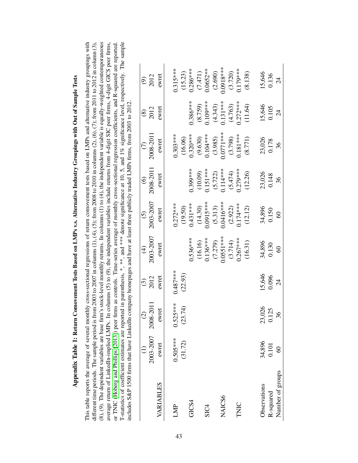|                  |                     | $\widehat{\infty}$ | $\widehat{\mathfrak{S}}$ | $\widehat{\mathcal{F}}$ | $\odot$     | $\odot$    | $\widehat{C}$   | $\circledast$  | $\widehat{\mathfrak{G}}$ |
|------------------|---------------------|--------------------|--------------------------|-------------------------|-------------|------------|-----------------|----------------|--------------------------|
|                  | 2003-2007 2008-2011 |                    | 2012                     | 2003-2007               | 2003-2007   | 2008-2011  | 2008-2011       | 2012           | 2012                     |
| VARIABLES        | ewret               | ewret              | ewret                    | ewret                   | ewret       | ewret      | ewret           | ewret          | ewret                    |
| LMP              | $0.505***$          | $0.525***$         | $0.487***$               |                         | $0.272***$  |            | $0.303***$      |                | $0.315***$               |
|                  | (31.72)             | (23.74)            | (22.93)                  |                         | (19.50)     |            | (16.06)         |                | (15.23)                  |
| GICS4            |                     |                    |                          | $0.536***$              | $0.431***$  | $0.399***$ | $0.320***$      | $0.386***$     | $0.286***$               |
|                  |                     |                    |                          | (16.16)                 | (14.30)     | (10.09)    | (9.630)         | (8.759)        | (7.471)                  |
| SIC <sub>4</sub> |                     |                    |                          | $0.136***$              | $0.0915***$ | $0.151***$ | $0.104***$      | $0.109***$     | $0.0652**$               |
|                  |                     |                    |                          | (7.279)                 | (5.313)     | (5.722)    | (3.985)         | (4.343)        | (2.690)                  |
| NAICS6           |                     |                    |                          | $0.0551***$             | $0.0416***$ | $0.114***$ | $0.0771***$     | $0.131***$     | $0.0918***$              |
|                  |                     |                    |                          | (3.714)                 | (2.922)     | (5.474)    | (3.798)         | (4.763)        | (3.720)                  |
| TNIC             |                     |                    |                          | $0.267***$              | $0.174***$  | $0.279***$ | $0.181***$      | $0.272***$     | $0.179***$               |
|                  |                     |                    |                          | (16.31)                 | (12.12)     | (12.26)    | (8.771)         | (11.64)        | (8.138)                  |
| Observations     | 34,896              | 23,026             | 15,646                   | 34,896                  | 34,896      | 23,026     |                 | 15,646         | 15,646                   |
| R-squared        | 0.101               | 0.125              | 0.096                    | 0.130                   | 0.150       | 0.148      | 23,026<br>0.178 | 0.105          | 0.136                    |
| Number of groups | $^{\circ}$          | 36                 | $\overline{c}$           | $\degree$               | $\degree$   | 36         | 36              | $\overline{c}$ | $\overline{c}$           |

# Appendix Table 1: Return Comovement Tests Based on LMPs v.s. Alternative Industry Groupings with Out of Sample Tests Appendix Table 1: Return Comovement Tests Based on LMPs v.s. Alternative Industry Groupings with Out of Sample Tests

<span id="page-44-0"></span>(8), (9). The dependent variables are base firm's stock-level monthly returns. In columns (1) to (4), the independent variable is equally-weighted contemporaneous average return of LinkedIn-implied LMPs. In columns (5) to (9), the independent variables include returns from 4-digit SIC peer firms, 4-digit GICS peer firms, T-statistics of coefficient estimates are reported in parenthesis, \*, \*\*, and \*\*\* denote significance at 10, 5, and 1% significance level, respectively. The sample This table reports the average of several monthly cross-sectional regressions of return comovement tests based on LMPs and alternative industry groupings with or TNIC (Hoberg and Phillips [2013]) peer firms as controls. Time-series average of monthly cross-sectional regression coefficients, and R-squared are reported. This table reports the average of several monthly cross-sectional regressions of return comovement tests based on LMPs and alternative industry groupings with different time periods. The sample period is from 2003 to 2007 in columns  $(1)$ ,  $(4)$ ,  $(5)$ ; from 2008 to 2010 in columns  $(2)$ ,  $(6)$ ,  $(7)$ ; from 2011 to 2012 in column  $(3)$ , different time periods. The sample period is from 2003 to 2007 in columns (1), (4), (5); from 2008 to 2010 in columns (2), (6), (7); from 2011 to 2012 in column (3), (8), (9). The dependent variables are base firm's stock-level monthly returns. In columns (1) to (4), the independent variable is equally-weighted contemporaneous average return of LinkedIn-implied LMPs. In columns (5) to (9), the independent variables include returns from 4-digit SIC peer firms, 4-digit GICS peer firms, or TNIC [\(Hoberg](#page-33-2) and Phillips [\[2013\]](#page-33-2)) peer firms as controls. Time-series average of monthly cross-sectional regression coefficients, and R-squared are reported. T-statistics of coefficient estimates are reported in parenthesis, \*, \*\*, and \*\*\* denote significance at 10, 5, and 1% significance level, respectively. The sample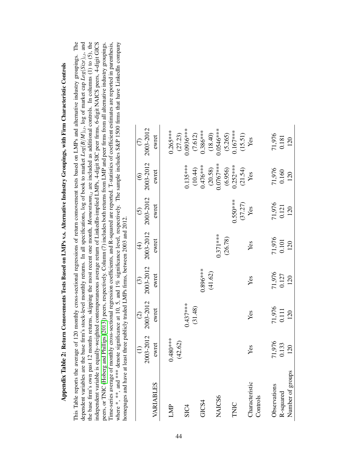|                  |                 | $\widehat{C}$ | $\odot$         | $\bigoplus$     | $\odot$         | $\odot$                  |                       |
|------------------|-----------------|---------------|-----------------|-----------------|-----------------|--------------------------|-----------------------|
|                  | 2003-2012       | 2003-2012     | 2003-2012       | 2003-2012       | 2003-2012       | 2003-2012                | 2003-2012             |
| VARIABLES        | ewret           | ewret         | ewret           | ewret           | ewret           | ewret                    | ewret                 |
| LMP              | $0.480***$      |               |                 |                 |                 |                          | $0.265***$            |
|                  | (42.62)         |               |                 |                 |                 |                          | (27.23)               |
| SIC <sub>4</sub> |                 | $0.437***$    |                 |                 |                 | $0.135***$               | $0.0936***$           |
|                  |                 | (31.48)       |                 |                 |                 |                          |                       |
| GICS4            |                 |               | $0.896***$      |                 |                 | $(10.44)$<br>0.476***    | $(7.612)$<br>0.386*** |
|                  |                 |               | (41.62)         |                 |                 |                          | (18.40)               |
| NAICS6           |                 |               |                 | $0.371***$      |                 | $(20.58)$<br>$0.0767***$ | 1.0546***             |
|                  |                 |               |                 | (26.78)         |                 |                          |                       |
| TNIC             |                 |               |                 |                 | $0.550***$      | $(6.956)$<br>0.252***    | $(5.265)$<br>0.167*** |
|                  |                 |               |                 |                 | (37.27)         | $(21.54)$<br>Yes         | (15.51)               |
| Characteristic   | Yes             | Yes           | Yes             | Yes             | Yes             |                          | Yes                   |
| Controls         |                 |               |                 |                 |                 |                          |                       |
| Observations     | 71,976<br>0.133 | 71,976        |                 | 71,976<br>0.101 | 71,976<br>0.121 |                          | 71,976<br>0.181       |
| R-squared        |                 | 0.111         | 71,976<br>0.127 |                 |                 | 71,976<br>0.160          |                       |
| Number of groups | 120             | 120           | 120             | 120             | 120             | 120                      | 120                   |

<span id="page-45-0"></span>

| I<br>ׇ֚֓                                                            |
|---------------------------------------------------------------------|
|                                                                     |
|                                                                     |
|                                                                     |
| ١                                                                   |
|                                                                     |
| l                                                                   |
|                                                                     |
|                                                                     |
|                                                                     |
|                                                                     |
|                                                                     |
|                                                                     |
|                                                                     |
|                                                                     |
|                                                                     |
|                                                                     |
|                                                                     |
|                                                                     |
|                                                                     |
|                                                                     |
|                                                                     |
|                                                                     |
|                                                                     |
|                                                                     |
|                                                                     |
|                                                                     |
|                                                                     |
|                                                                     |
|                                                                     |
|                                                                     |
|                                                                     |
| I<br>I                                                              |
|                                                                     |
|                                                                     |
|                                                                     |
|                                                                     |
|                                                                     |
| ı                                                                   |
| j                                                                   |
|                                                                     |
|                                                                     |
|                                                                     |
| $\overline{\phantom{a}}$<br>i                                       |
| ֦                                                                   |
|                                                                     |
|                                                                     |
|                                                                     |
| $\begin{array}{c} \n\cdot & \cdot \\ \n\cdot & \cdot \n\end{array}$ |
|                                                                     |
| $\frac{1}{2}$<br>ľ                                                  |
| Ę                                                                   |
| ppen<br>l<br>ŕ                                                      |

This Table reports the average of 120 monthly cross-sectional regressions of return comovement tests based on LMPs and alternative industry groupings. The the base firm's own past 12 months returns, skipping the most recent one month, Momentumn<sub>it</sub>, are included as additional controls. In columns (1) to (5), the independent variable is equally-weighted contemporaneous average return of LinkedIn-implied LMPs, 4-digit SIC peer firms, 6-digit NAICS peers, 4-digit GICS peers, or TNIC (Hoberg and Phillips [2013]) peers, respectively. Column (7) includes both returns from LMP and peer firms from all alternative industry groupings. Time-series average of monthly cross-sectional regression coefficients, and R-squared are reported. T-statistics of coefficient estimates are reported in parenthesis, dependent variables are the base firm's stock-level monthly returns. In all specifications, log of book to market  $Log(B/M)_{i,t}$ , log of market cap  $Log(Size)_{i,t}$ , and where \*, \*\*, and \*\*\* denote significance at 10, 5, and 1% significance level, respectively. The sample includes S&P 1500 firms that have Linkedin company This Table reports the average of 120 monthly cross-sectional regressions of return comovement tests based on LMPs and alternative industry groupings. The dependent variables are the base firm's stock-level monthly returns. In all specifications, log of book to market  $Log(B/M)_{i,t}$ , log of market cap  $Log(Size)_{i,t}$ , and the base firm's own past 12 months returns, skipping the most recent one month, *Momentumni*,*t* are included as additional controls. In columns (1) to (5), the independent variable is equally-weighted contemporaneous average return of LinkedIn-implied LMPs, 4-digit SIC peer firms, 6-digit NAICS peers, 4-digit GICS peers, or TNIC [\(Hoberg](#page-33-2) and Phillips [\[2013\]](#page-33-2)) peers, respectively. Column (7) includes both returns from LMP and peer firms from all alternative industry groupings. Time-series average of monthly cross-sectional regression coefficients, and R-squared are reported. T-statistics of coefficient estimates are reported in parenthesis, where \*, \*\*, and \*\*\* denote significance at 10, 5, and 1% significance level, respectively. The sample includes S&P 1500 firms that have LinkedIn company homepages and have at least three publicly traded LMPs firms, between 2003 and 2012.  $1.1111T$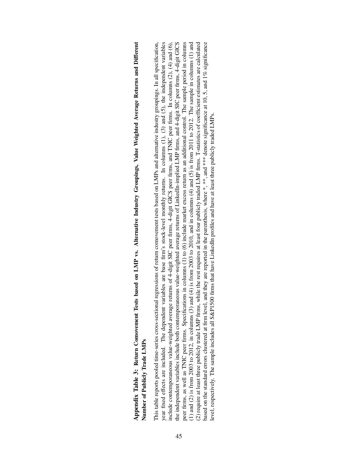Appendix Table 3: Return Comovement Tests based on LMP vs. Alternative Industry Groupings, Value Weighted Average Returns and Different Appendix Table 3: Return Comovement Tests based on LMP vs. Alternative Industry Groupings, Value Weighted Average Returns and Different Number of Publicly Trade LMPs Number of Publicly Trade LMPs

year fixed effects are included. The dependent variables are base firm's stock-level monthly returns. In columns (1), (3) and (5), the independent variables the independent variables include both contemporaneous value-weighted average returns of LinkedIn-implied LMP firms, and 4-digit SIC peer firms, 4-digit GICS peer firms, as well as TNIC peer firms. Specifications in columns (1) to (6) include market excess return as an additional control. The sample period in columns This table reports pooled time-series cross-sectional regressions of return comovement tests based on LMPs and alternative industry groupings. In all specification, include contemporaneous value-weighted average returns of 4-digit SIC peer firms, 4-digit GICS peer firms, and TNIC peer firms. In columns (2), (4) and (6), (1) and (2) is from 2003 to 2012, in columns (3) and (4) is from 2003 to 2010, and in columns (4) and (5) is from 2011 to 2012. The sample in columns (1) and (2) require at least three publicly trade LMP firms, while the rest requires at least four publicly traded LMP firms. T-statistics of coefficient estimates are calculated based on the standard errors clustered at firm level, and they are reported in the parenthesis, where  $*$ ,  $**$ , and  $***$  denote significance at 10, 5, and 1% significance This table reports pooled time-series cross-sectional regressions of return comovement tests based on LMPs and alternative industry groupings. In all specification, year fixed effects are included. The dependent variables are base firm's stock-level monthly returns. In columns (1), (3) and (5), the independent variables include contemporaneous value-weighted average returns of 4-digit SIC peer firms, 4-digit GICS peer firms, and TNIC peer firms. In columns (2), (4) and (6), the independent variables include both contemporaneous value-weighted average returns of LinkedIn-implied LMP firms, and 4-digit SIC peer firms, 4-digit GICS peer firms, as well as TNIC peer firms. Specifications in columns (1) to (6) include market excess return as an additional control. The sample period in columns (1) and (2) is from 2003 to 2012, in columns (3) and (4) is from 2003 to 2010, and in columns (4) and (5) is from 2011 to 2012. The sample in columns (1) and (1) and (2) require at least three publicly trade LMP firms, while the rest requires at least four publicly traded LMP firms. T-statistics of coefficient estimates are calculated based on the standard errors clustered at firm level, and they are reported in the parenthesis, where \*, \*\*, and \*\*\* denote significance at 10, 5, and 1% significance evel, respectively. The sample includes all S&P1500 firms that have LinkedIn profiles and have at least three publicly traded LMPs. level, respectively. The sample includes all S&P1500 firms that have LinkedIn profiles and have at least three publicly traded LMPs.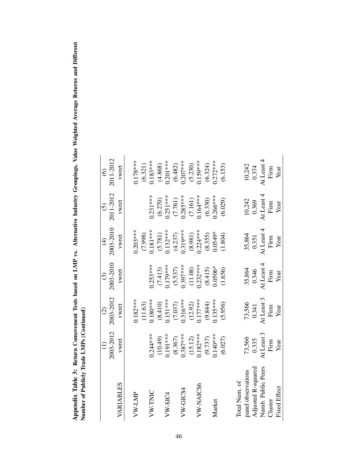<span id="page-47-0"></span>

| ;<br>;                                                                      |                             |
|-----------------------------------------------------------------------------|-----------------------------|
|                                                                             |                             |
|                                                                             |                             |
|                                                                             |                             |
| $\frac{1}{2}$<br>C.<br>ć<br>ļ<br>Ĭ<br>.<br><br>ົ<br>$\frac{1}{2}$<br>l<br>ı | $\zeta$<br> <br> <br> <br>ĺ |

|                     |                         | $\widehat{c}$         | $\widehat{c}$                                    | $\widehat{\mathcal{F}}$ | $\widehat{c}$         | $\widehat{\mathcal{C}}$ |
|---------------------|-------------------------|-----------------------|--------------------------------------------------|-------------------------|-----------------------|-------------------------|
|                     | 2003-2012               | 2003-2012             | 2003-2010                                        | 2003-2010               | 2011-2012             | 2011-2012               |
| VARIABLES           | vwret                   | vwret                 | vwret                                            | vwret                   | vwret                 | vwret                   |
|                     |                         |                       |                                                  |                         |                       |                         |
| VW-LMP              |                         | $0.182***$            |                                                  | $0.203**$               |                       | $0.178**$               |
|                     |                         | (11.63)               |                                                  | (7.998)                 |                       | (6.321)                 |
| VW-TNIC             | $0.244***$              | $0.180***$            | $0.253***$                                       | $0.181***$              | $0.231***$            | $0.183***$              |
|                     | $(10.49)$<br>0.191***   | $(8.410)$<br>0.151*** |                                                  |                         |                       | $(4.868)$<br>0.201***   |
| $VW-SIC4$           |                         |                       | $(7.413)$<br>0.179***                            | $(5.781)$<br>0.132***   | $(6.270)$<br>0.251*** |                         |
|                     | (8.367)                 | $(7.037)$<br>0.316*** | (5.537)                                          |                         |                       | (6.482)                 |
| $VW$ -GICS4         | $0.387***$              |                       | $0.397***$                                       | $(4.237)$<br>0.319***   | $(7.761)$<br>0.285*** | $0.207***$              |
|                     | $(15.12)$<br>$0.182***$ | $(12.92)$<br>0.177*** | $(11.08)$<br>0.232***                            | $(8.981)$<br>0.224***   | $(7.161)$<br>0.164*** | $(5.230)$<br>0.159***   |
| VW-NAICS6           |                         |                       |                                                  |                         |                       |                         |
|                     | (9.737)                 | (9.844)               | (8.415)                                          | (8.355)                 | (6.330)               | (6.324)                 |
| Market              | $.140***$               | $0.135***$            | $0.0506*$                                        | $0.0549*$               | $0.266***$            | $0.272***$              |
|                     | (6.027)                 | (5.956)               | (1.656)                                          | (1.804)                 | (6.029)               | (6.153)                 |
|                     |                         |                       |                                                  |                         |                       |                         |
| Total Num. of       |                         |                       |                                                  |                         |                       |                         |
| panel observations  | 73,566                  | 73,566                | 35,864                                           | 35,864                  | 10,242                |                         |
| Adjusted R-squared  | 0.335                   | 0.341                 | 0.346                                            | 0.351                   | 0.369                 | 10,242<br>0.374         |
| Numb. Public Peers  | At Least 3              | At Least 3            | At Least 4                                       | At Least 4              | At Least 4            | At Least 4              |
| Cluster             | Firm                    | Firm                  | $\ensuremath{\textnormal{\textbf{Firm}}}\xspace$ | Firm                    | Firm                  | Firm                    |
| <b>Fixed Effect</b> | Year                    | Year                  | Year                                             | Year                    | Year                  | Year                    |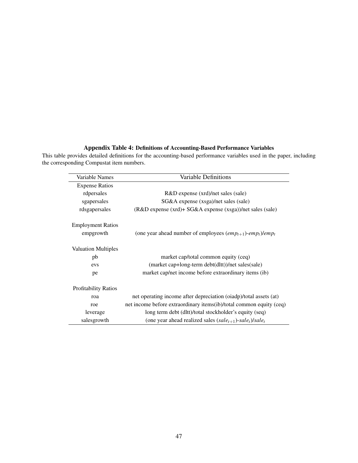### Appendix Table 4: Definitions of Accounting-Based Performance Variables

<span id="page-48-0"></span>This table provides detailed definitions for the accounting-based performance variables used in the paper, including the corresponding Compustat item numbers.

| Variable Names              | Variable Definitions                                                                                                    |
|-----------------------------|-------------------------------------------------------------------------------------------------------------------------|
| <b>Expense Ratios</b>       |                                                                                                                         |
| rdpersales                  | R&D expense (xrd)/net sales (sale)                                                                                      |
| sgapersales                 | SG&A expense (xsga)/net sales (sale)                                                                                    |
| rdsgapersales               | $(R&D$ expense $(xrd)$ + SG&A expense $(xsga)$ )/net sales $(sale)$                                                     |
| <b>Employment Ratios</b>    |                                                                                                                         |
| empgrowth                   | (one year ahead number of employees $\left( \text{emp}_{t+1} \right)$ -emp <sub>t</sub> $\left( \text{emp}_{t} \right)$ |
| <b>Valuation Multiples</b>  |                                                                                                                         |
| pb                          | market cap/total common equity (ceq)                                                                                    |
| evs                         | (market cap+long-term debt(dltt))/net sales(sale)                                                                       |
| pe                          | market cap/net income before extraordinary items (ib)                                                                   |
| <b>Profitability Ratios</b> |                                                                                                                         |
| roa                         | net operating income after depreciation (oiadp)/total assets (at)                                                       |
| roe                         | net income before extraordinary items(ib)/total common equity (ceq)                                                     |
| leverage                    | long term debt (dltt)/total stockholder's equity (seq)                                                                  |
| salesgrowth                 | (one year ahead realized sales $(sale_{t+1})$ -sale <sub>t</sub> )/sale <sub>t</sub>                                    |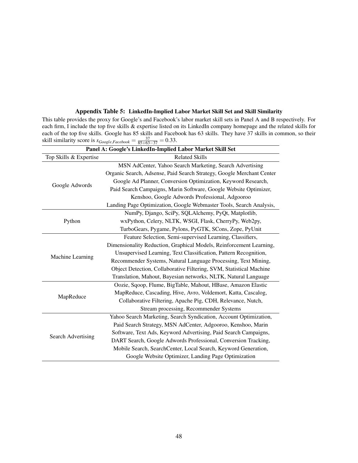|                           | Panel A: Google's LinkedIn-Implied Labor Market Skill Set             |
|---------------------------|-----------------------------------------------------------------------|
| Top Skills & Expertise    | <b>Related Skills</b>                                                 |
|                           | MSN AdCenter, Yahoo Search Marketing, Search Advertising              |
|                           | Organic Search, Adsense, Paid Search Strategy, Google Merchant Center |
| Google Adwords            | Google Ad Planner, Conversion Optimization, Keyword Research,         |
|                           | Paid Search Campaigns, Marin Software, Google Website Optimizer,      |
|                           | Kenshoo, Google Adwords Professional, Adgooroo                        |
|                           | Landing Page Optimization, Google Webmaster Tools, Search Analysis,   |
|                           | NumPy, Django, SciPy, SQLAlchemy, PyQt, Matplotlib,                   |
| Python                    | wxPython, Celery, NLTK, WSGI, Flask, CherryPy, Web2py,                |
|                           | TurboGears, Pygame, Pylons, PyGTK, SCons, Zope, PyUnit                |
|                           | Feature Selection, Semi-supervised Learning, Classifiers,             |
|                           | Dimensionality Reduction, Graphical Models, Reinforcement Learning,   |
| Machine Learning          | Unsupervised Learning, Text Classification, Pattern Recognition,      |
|                           | Recommender Systems, Natural Language Processing, Text Mining,        |
|                           | Object Detection, Collaborative Filtering, SVM, Statistical Machine   |
|                           | Translation, Mahout, Bayesian networks, NLTK, Natural Language        |
|                           | Oozie, Sqoop, Flume, BigTable, Mahout, HBase, Amazon Elastic          |
|                           | MapReduce, Cascading, Hive, Avro, Voldemort, Katta, Cascalog,         |
| MapReduce                 | Collaborative Filtering, Apache Pig, CDH, Relevance, Nutch,           |
|                           | Stream processing, Recommender Systems                                |
|                           | Yahoo Search Marketing, Search Syndication, Account Optimization,     |
|                           | Paid Search Strategy, MSN AdCenter, Adgooroo, Kenshoo, Marin          |
| <b>Search Advertising</b> | Software, Text Ads, Keyword Advertising, Paid Search Campaigns,       |
|                           | DART Search, Google Adwords Professional, Conversion Tracking,        |
|                           | Mobile Search, SearchCenter, Local Search, Keyword Generation,        |
|                           | Google Website Optimizer, Landing Page Optimization                   |

### Appendix Table 5: LinkedIn-Implied Labor Market Skill Set and Skill Similarity

<span id="page-49-0"></span>This table provides the proxy for Google's and Facebook's labor market skill sets in Panel A and B respectively. For each firm, I include the top five skills & expertise listed on its LinkedIn company homepage and the related skills for each of the top five skills. Google has 85 skills and Facebook has 63 skills. They have 37 skills in common, so their skill similarity score is  $s_{Google, Facebook} = \frac{37}{85+63-37} = 0.33$ .